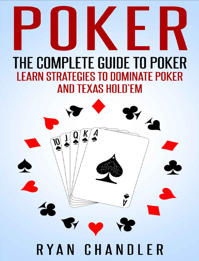# THE COMPLETE GUIDE TO POKER **LEARN STRATEGIES TO DOMINATE POKER AND TEXAS HOLD'EM**

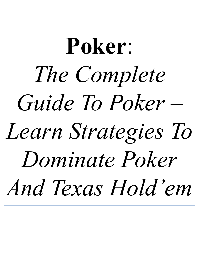# **Poker**: *The Complete Guide To Poker – Learn [Strategies](http://amzn.to/1GKXOzz) To Dominate Poker And Texas Hold' em*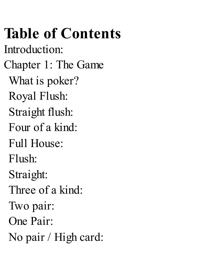# **Table of Contents**

Introduction:

Chapter 1: The Game

What is poker?

Royal Flush:

Straight flush:

Four of a kind:

Full House:

Flush:

Straight:

Three of a kind:

Two pair:

One Pair:

No pair / High card: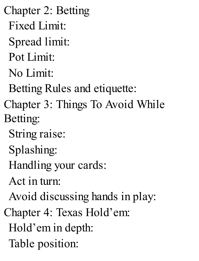Chapter 2: Betting Fixed Limit: Spread limit: Pot Limit: No Limit: Betting Rules and etiquette: Chapter 3: Things To Avoid While Betting: String raise: Splashing: Handling your cards: Act in turn: Avoid discussing hands in play: Chapter 4: Texas Hold'em: Hold'em in depth: Table position: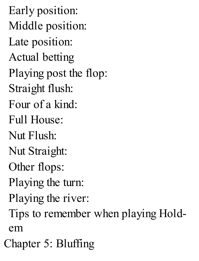Early position: Middle position: Late position: Actual betting Playing post the flop: Straight flush: Four of a kind: Full House: Nut Flush: Nut Straight: Other flops: Playing the turn: Playing the river: Tips to remember when playing Holdem Chapter 5: Bluffing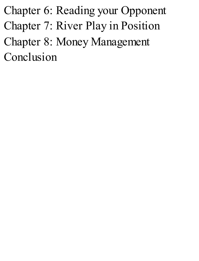Chapter 6: Reading your Opponent Chapter 7: River Play in Position Chapter 8: Money Management Conclusion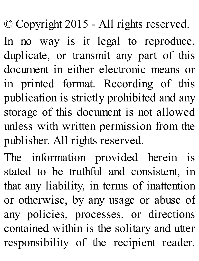© Copyright 2015 - All rights reserved.

In no way is it legal to reproduce, duplicate, or transmit any part of this document in either electronic means or in printed format. Recording of this publication is strictly prohibited and any storage of this document is not allowed unless with written permission from the publisher. All rights reserved.

The information provided herein is stated to be truthful and consistent, in that any liability, in terms of inattention or otherwise, by any usage or abuse of any policies, processes, or directions contained within is the solitary and utter responsibility of the recipient reader.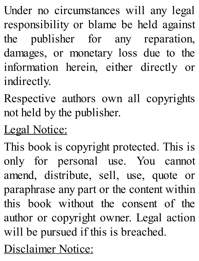Under no circumstances will any legal responsibility or blame be held against the publisher for any reparation, damages, or monetary loss due to the information herein, either directly or indirectly.

Respective authors own all copyrights not held by the publisher.

Legal Notice:

This book is copyright protected. This is only for personal use. You cannot amend, distribute, sell, use, quote or paraphrase any part or the content within this book without the consent of the author or copyright owner. Legal action will be pursued if this is breached.

Disclaimer Notice: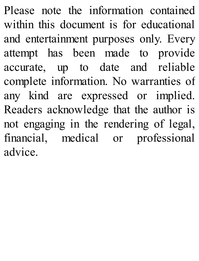Please note the information contained within this document is for educational and entertainment purposes only. Every attempt has been made to provide accurate, up to date and reliable complete information. No warranties of any kind are expressed or implied. Readers acknowledge that the author is not engaging in the rendering of legal, financial, medical or professional advice.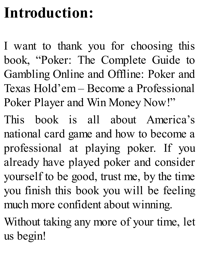# **Introduction:**

I want to thank you for choosing this book, "Poker: The Complete Guide to Gambling Online and Offline: Poker and Texas Hold'em – Become a Professional Poker Player and Win Money Now!"

This book is all about America's national card game and how to become a professional at playing poker. If you already have played poker and consider yourself to be good, trust me, by the time you finish this book you will be feeling much more confident about winning.

Without taking any more of your time, let us begin!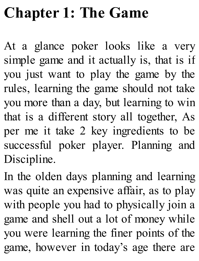# **[Chapter](http://amzn.to/1GKXOzz) 1: The Game**

At a glance poker looks like a very simple game and it actually is, that is if you just want to play the game by the rules, learning the game should not take you more than a day, but learning to win that is a different story all together, As per me it take 2 key ingredients to be successful poker player. Planning and Discipline.

In the olden days planning and learning was quite an expensive affair, as to play with people you had to physically join a game and shell out a lot of money while you were learning the finer points of the game, however in today's age there are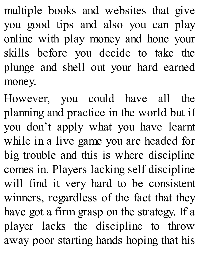multiple books and websites that give you good tips and also you can play online with play money and hone your skills before you decide to take the plunge and shell out your hard earned money.

However, you could have all the planning and practice in the world but if you don't apply what you have learnt while in a live game you are headed for big trouble and this is where discipline comes in. Players lacking self discipline will find it very hard to be consistent winners, regardless of the fact that they have got a firm grasp on the strategy. If a player lacks the discipline to throw away poor starting hands hoping that his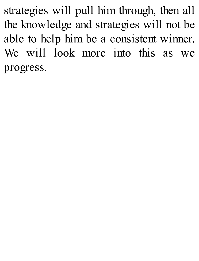strategies will pull him through, then all the knowledge and strategies will not be able to help him be a consistent winner. We will look more into this as we progress.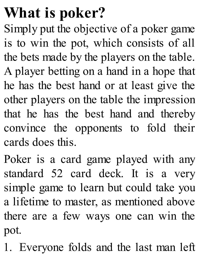### **What is poker?**

Simply put the objective of a poker game is to win the pot, which consists of all the bets made by the players on the table. A player betting on a hand in a hope that he has the best hand or at least give the other players on the table the impression that he has the best hand and thereby convince the opponents to fold their cards does this.

Poker is a card game played with any standard 52 card deck. It is a very simple game to learn but could take you a lifetime to master, as mentioned above there are a few ways one can win the pot.

1. Everyone folds and the last man left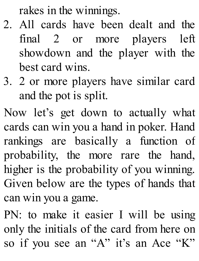rakes in the winnings.

- 2. All cards have been dealt and the final 2 or more players left showdown and the player with the best card wins.
- 3. 2 or more players have similar card and the pot is split.

Now let's get down to actually what cards can win you a hand in poker. Hand rankings are basically a function of probability, the more rare the hand, higher is the probability of you winning. Given below are the types of hands that can win you a game.

PN: to make it easier I will be using only the initials of the card from here on so if you see an "A" it's an Ace "K"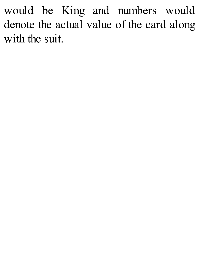would be King and numbers would denote the actual value of the card along with the suit.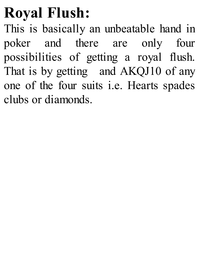### **Royal Flush:**

This is basically an unbeatable hand in poker and there are only four possibilities of getting a royal flush. That is by getting and AKQJ10 of any one of the four suits i.e. Hearts spades clubs or diamonds.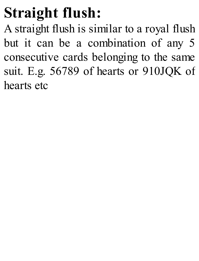# **Straight flush:**

A straight flush is similar to a royal flush but it can be a combination of any 5 consecutive cards belonging to the same suit. E.g. 56789 of hearts or 910JQK of hearts etc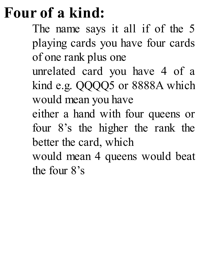### **Four of a kind:**

The name says it all if of the 5 playing cards you have four cards of one rank plus one

unrelated card you have 4 of a kind e.g. QQQQ5 or 8888A which would mean you have

either a hand with four queens or four 8's the higher the rank the better the card, which

would mean 4 queens would beat the four 8's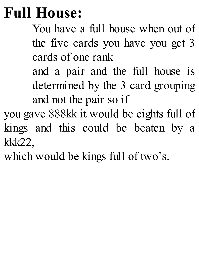#### **Full House:**

You have a full house when out of the five cards you have you get 3 cards of one rank

and a pair and the full house is determined by the 3 card grouping and not the pair so if

you gave 888kk it would be eights full of kings and this could be beaten by a kkk22,

which would be kings full of two's.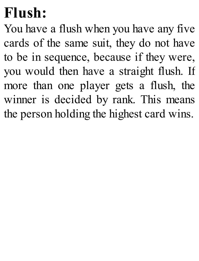#### **Flush:**

You have a flush when you have any five cards of the same suit, they do not have to be in sequence, because if they were, you would then have a straight flush. If more than one player gets a flush, the winner is decided by rank. This means the person holding the highest card wins.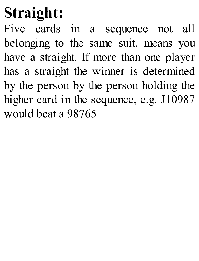# **Straight:**

Five cards in a sequence not all belonging to the same suit, means you have a straight. If more than one player has a straight the winner is determined by the person by the person holding the higher card in the sequence, e.g. J10987 would beat a 98765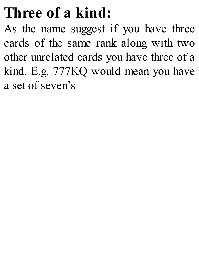#### **Three of a kind:**

As the name suggest if you have three cards of the same rank along with two other unrelated cards you have three of a kind. E.g. 777KQ would mean you have a set of seven's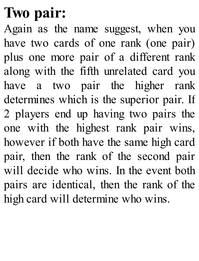### **Two pair:**

Again as the name suggest, when you have two cards of one rank (one pair) plus one more pair of a different rank along with the fifth unrelated card you have a two pair the higher rank determines which is the superior pair. If 2 players end up having two pairs the one with the highest rank pair wins, however if both have the same high card pair, then the rank of the second pair will decide who wins. In the event both pairs are identical, then the rank of the high card will determine who wins.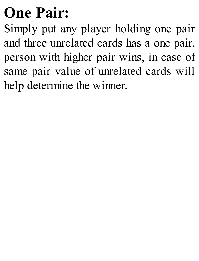# **One Pair:**

Simply put any player holding one pair and three unrelated cards has a one pair, person with higher pair wins, in case of same pair value of unrelated cards will help determine the winner.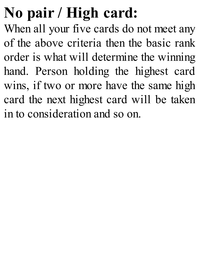# **No pair / High card:**

When all your five cards do not meet any of the above criteria then the basic rank order is what will determine the winning hand. Person holding the highest card wins, if two or more have the same high card the next highest card will be taken in to consideration and so on.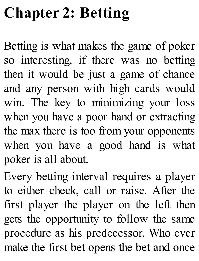# **Chapter 2: Betting**

Betting is what makes the game of poker so interesting, if there was no betting then it would be just a game of chance and any person with high cards would win. The key to minimizing your loss when you have a poor hand or extracting the max there is too from your opponents when you have a good hand is what poker is all about.

Every betting interval requires a player to either check, call or raise. After the first player the player on the left then gets the opportunity to follow the same procedure as his predecessor. Who ever make the first bet opens the bet and once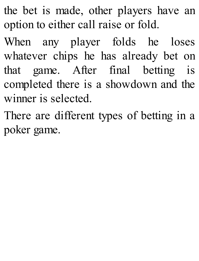the bet is made, other players have an option to either call raise or fold.

When any player folds he loses whatever chips he has already bet on that game. After final betting is completed there is a showdown and the winner is selected.

There are different types of betting in a poker game.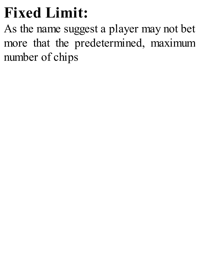# **Fixed Limit:**

As the name suggest a player may not bet more that the predetermined, maximum number of chips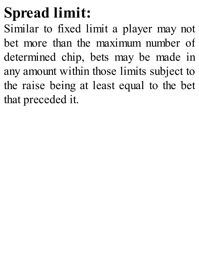# **Spread limit:**

Similar to fixed limit a player may not bet more than the maximum number of determined chip, bets may be made in any amount within those limits subject to the raise being at least equal to the bet that preceded it.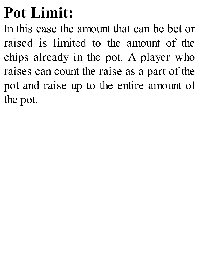### **Pot Limit:**

In this case the amount that can be bet or raised is limited to the amount of the chips already in the pot. A player who raises can count the raise as a part of the pot and raise up to the entire amount of the pot.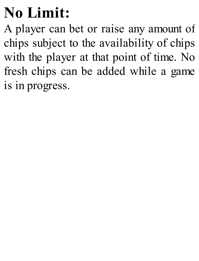# **No Limit:**

A player can bet or raise any amount of chips subject to the availability of chips with the player at that point of time. No fresh chips can be added while a game is in progress.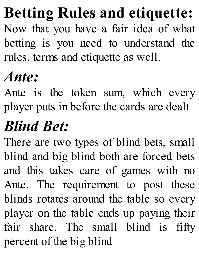#### **Betting Rules and [etiquette:](http://amzn.to/1GKXOzz)**

Now that you have a fair idea of what betting is you need to understand the rules, terms and etiquette as well.

#### *Ante:*

Ante is the token sum, which every player puts in before the cards are dealt

# *Blind Bet:*

There are two types of blind bets, small blind and big blind both are forced bets and this takes care of games with no Ante. The requirement to post these blinds rotates around the table so every player on the table ends up paying their fair share. The small blind is fifty percent of the big blind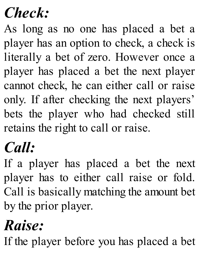#### *Check:*

As long as no one has placed a bet a player has an option to check, a check is literally a bet of zero. However once a player has placed a bet the next player cannot check, he can either call or raise only. If after checking the next players' bets the player who had checked still retains the right to call or raise.

### *Call:*

If a player has placed a bet the next player has to either call raise or fold. Call is basically matching the amount bet by the prior player.

### *Raise:*

If the player before you has placed a bet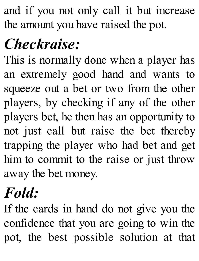and if you not only call it but increase the amount you have raised the pot.

# *Checkraise:*

This is normally done when a player has an extremely good hand and wants to squeeze out a bet or two from the other players, by checking if any of the other players bet, he then has an opportunity to not just call but raise the bet thereby trapping the player who had bet and get him to commit to the raise or just throw away the bet money.

### *Fold:*

If the cards in hand do not give you the confidence that you are going to win the pot, the best possible solution at that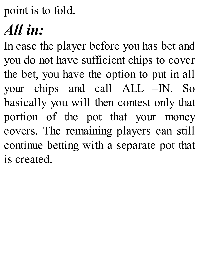point is to fold.

#### *All in:*

In case the player before you has bet and you do not have sufficient chips to cover the bet, you have the option to put in all your chips and call ALL –IN. So basically you will then contest only that portion of the pot that your money covers. The remaining players can still continue betting with a separate pot that is created.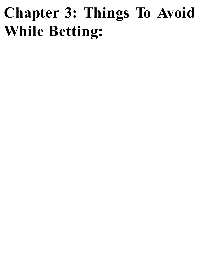# **Chapter 3: Things To Avoid While Betting:**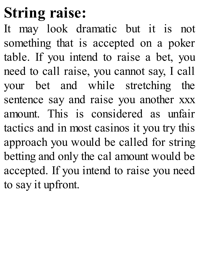#### **String raise:**

It may look dramatic but it is not something that is accepted on a poker table. If you intend to raise a bet, you need to call raise, you cannot say, I call your bet and while stretching the sentence say and raise you another xxx amount. This is considered as unfair tactics and in most casinos it you try this approach you would be called for string betting and only the cal amount would be accepted. If you intend to raise you need to say it upfront.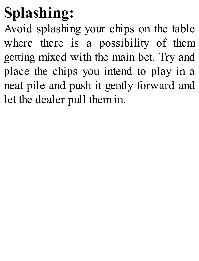# **Splashing:**

Avoid splashing your chips on the table where there is a possibility of them getting mixed with the main bet. Try and place the chips you intend to play in a neat pile and push it gently forward and let the dealer pull them in.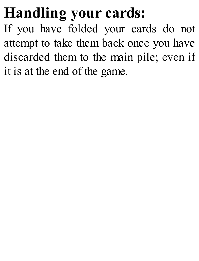### **Handling your cards:**

If you have folded your cards do not attempt to take them back once you have discarded them to the main pile; even if it is at the end of the game.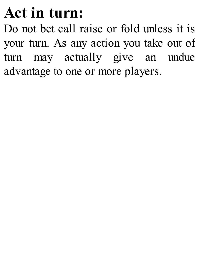#### **Act in turn:**

Do not bet call raise or fold unless it is your turn. As any action you take out of turn may actually give an undue advantage to one or more players.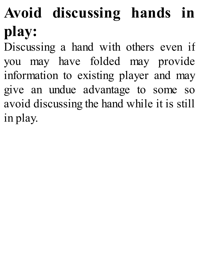# **Avoid discussing hands in play:**

Discussing a hand with others even if you may have folded may provide information to existing player and may give an undue advantage to some so avoid discussing the hand while it is still in play.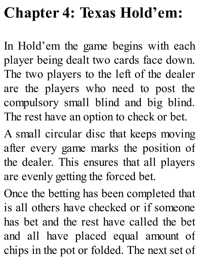# **Chapter 4: Texas Hold'em:**

In Hold'em the game begins with each player being dealt two cards face down. The two players to the left of the dealer are the players who need to post the compulsory small blind and big blind. The rest have an option to check or bet.

A small circular disc that keeps moving after every game marks the position of the dealer. This ensures that all players are evenly getting the forced bet.

Once the betting has been completed that is all others have checked or if someone has bet and the rest have called the bet and all have placed equal amount of chips in the pot or folded. The next set of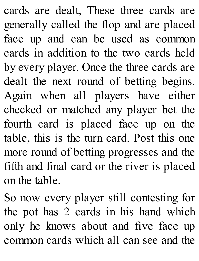cards are dealt, These three cards are generally called the flop and are placed face up and can be used as common cards in addition to the two cards held by every player. Once the three cards are dealt the next round of betting begins. Again when all players have either checked or matched any player bet the fourth card is placed face up on the table, this is the turn card. Post this one more round of betting progresses and the fifth and final card or the river is placed on the table.

So now every player still contesting for the pot has 2 cards in his hand which only he knows about and five face up common cards which all can see and the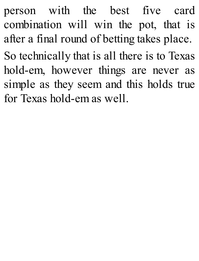person with the best five card combination will win the pot, that is after a final round of betting takes place. So technically that is all there is to Texas hold-em, however things are never as simple as they seem and this holds true for Texas hold-em as well.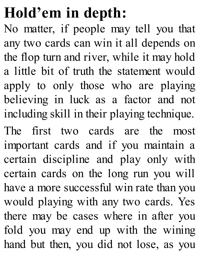### **Hold'em in depth:**

No matter, if people may tell you that any two cards can win it all depends on the flop turn and river, while it may hold a little bit of truth the statement would apply to only those who are playing believing in luck as a factor and not including skill in their playing technique.

The first two cards are the most important cards and if you maintain a certain discipline and play only with certain cards on the long run you will have a more successful win rate than you would playing with any two cards. Yes there may be cases where in after you fold you may end up with the wining hand but then, you did not lose, as you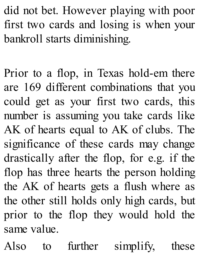did not bet. However playing with poor first two cards and losing is when your bankroll starts diminishing.

Prior to a flop, in Texas hold-em there are 169 different combinations that you could get as your first two cards, this number is assuming you take cards like AK of hearts equal to AK of clubs. The significance of these cards may change drastically after the flop, for e.g. if the flop has three hearts the person holding the AK of hearts gets a flush where as the other still holds only high cards, but prior to the flop they would hold the same value.

Also to further simplify, these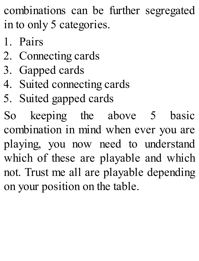combinations can be further segregated in to only 5 categories.

- 1. Pairs
- 2. Connecting cards
- 3. Gapped cards
- 4. Suited connecting cards
- 5. Suited gapped cards

So keeping the above 5 basic combination in mind when ever you are playing, you now need to understand which of these are playable and which not. Trust me all are playable depending on your position on the table.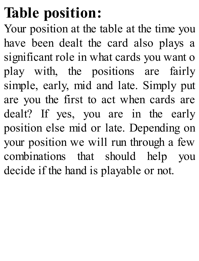### **Table position:**

Your position at the table at the time you have been dealt the card also plays a significant role in what cards you want o play with, the positions are fairly simple, early, mid and late. Simply put are you the first to act when cards are dealt? If yes, you are in the early position else mid or late. Depending on your position we will run through a few combinations that should help you decide if the hand is playable or not.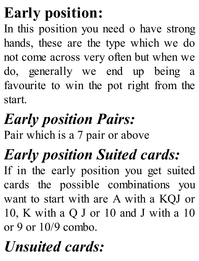# **Early position:**

In this position you need o have strong hands, these are the type which we do not come across very often but when we do, generally we end up being a favourite to win the pot right from the start.

# *Early position Pairs:*

Pair which is a 7 pair or above

# *Early position Suited cards:*

If in the early position you get suited cards the possible combinations you want to start with are A with a KQJ or 10, K with a Q J or 10 and J with a 10 or 9 or  $10/9$  combo.

# *Unsuited cards:*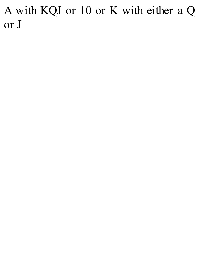A with KQJ or 10 or K with either a Q o r J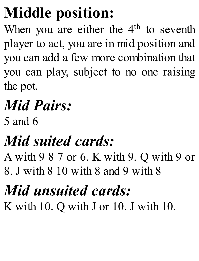## **Middle position:**

When you are either the  $4<sup>th</sup>$  to seventh player to act, you are in mid position and you can add a few more combination that you can play, subject to no one raising the pot.

# *Mid Pairs:*

5 and 6

## *Mid suited cards:*

A with 9 8 7 or 6. K with 9. Q with 9 or 8. J with 8 10 with 8 and 9 with 8

# *Mid unsuited cards:*

K with 10. Q with J or 10. J with 10.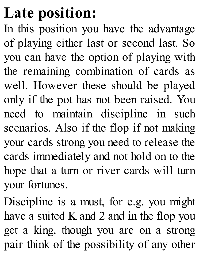#### **Late position:**

In this position you have the advantage of playing either last or second last. So you can have the option of playing with the remaining combination of cards as well. However these should be played only if the pot has not been raised. You need to maintain discipline in such scenarios. Also if the flop if not making your cards strong you need to release the cards immediately and not hold on to the hope that a turn or river cards will turn your fortunes.

Discipline is a must, for e.g. you might have a suited K and 2 and in the flop you get a king, though you are on a strong pair think of the possibility of any other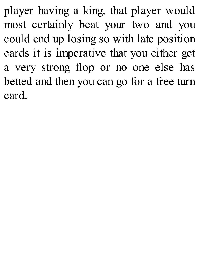player having a king, that player would most certainly beat your two and you could end up losing so with late position cards it is imperative that you either get a very strong flop or no one else has betted and then you can go for a free turn card.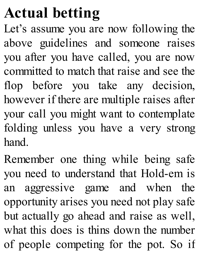# **Actual [betting](http://amzn.to/1GKXOzz)**

Let's assume you are now following the above guidelines and someone raises you after you have called, you are now committed to match that raise and see the flop before you take any decision, however if there are multiple raises after your call you might want to contemplate folding unless you have a very strong hand.

Remember one thing while being safe you need to understand that Hold-em is an aggressive game and when the opportunity arises you need not play safe but actually go ahead and raise as well, what this does is thins down the number of people competing for the pot. So if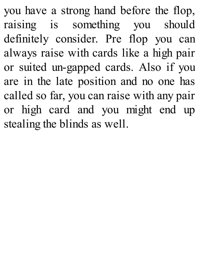you have a strong hand before the flop, raising is something you should definitely consider. Pre flop you can always raise with cards like a high pair or suited un-gapped cards. Also if you are in the late position and no one has called so far, you can raise with any pair or high card and you might end up stealing the blinds as well.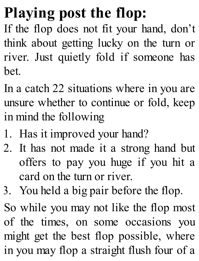# **Playing post the flop:**

If the flop does not fit your hand, don't think about getting lucky on the turn or river. Just quietly fold if someone has bet.

In a catch 22 situations where in you are unsure whether to continue or fold, keep in mind the following

- 1. Has it improved your hand?
- 2. It has not made it a strong hand but offers to pay you huge if you hit a card on the turn or river.
- 3. You held a big pair before the flop.

So while you may not like the flop most of the times, on some occasions you might get the best flop possible, where in you may flop a straight flush four of a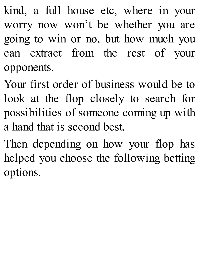kind, a full house etc, where in your worry now won't be whether you are going to win or no, but how much you can extract from the rest of your opponents.

Your first order of business would be to look at the flop closely to search for possibilities of someone coming up with a hand that is second best.

Then depending on how your flop has helped you choose the following betting options.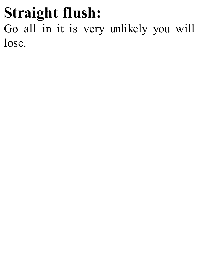#### **Straight flush:** Go all in it is very unlikely you will lose.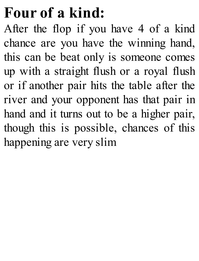# **Four of a kind:**

After the flop if you have 4 of a kind chance are you have the winning hand, this can be beat only is someone comes up with a straight flush or a royal flush or if another pair hits the table after the river and your opponent has that pair in hand and it turns out to be a higher pair, though this is possible, chances of this happening are very slim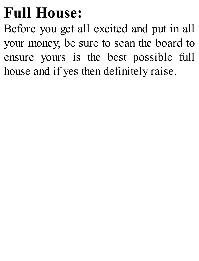### **Full House:**

Before you get all excited and put in all your money, be sure to scan the board to ensure yours is the best possible full house and if yes then definitely raise.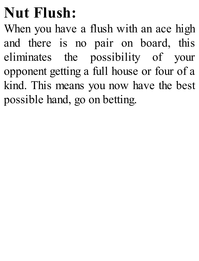## **Nut Flush:**

When you have a flush with an ace high and there is no pair on board, this eliminates the possibility of your opponent getting a full house or four of a kind. This means you now have the best possible hand, go on betting.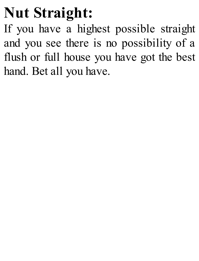## **Nut Straight:**

If you have a highest possible straight and you see there is no possibility of a flush or full house you have got the best hand. Bet all you have.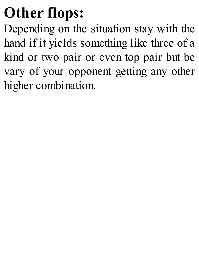# **Other flops:**

Depending on the situation stay with the hand if it yields something like three of a kind or two pair or even top pair but be vary of your opponent getting any other higher combination.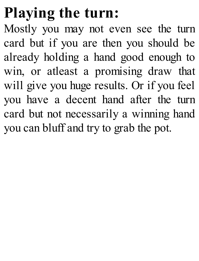# **Playing the turn:**

Mostly you may not even see the turn card but if you are then you should be already holding a hand good enough to win, or atleast a promising draw that will give you huge results. Or if you feel you have a decent hand after the turn card but not necessarily a winning hand you can bluff and try to grab the pot.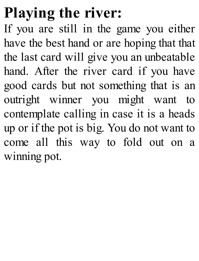# **[Playing](http://amzn.to/1GKXOzz) the river:**

If you are still in the game you either have the best hand or are hoping that that the last card will give you an unbeatable hand. After the river card if you have good cards but not something that is an outright winner you might want to contemplate calling in case it is a heads up or if the pot is big. You do not want to come all this way to fold out on a winning pot.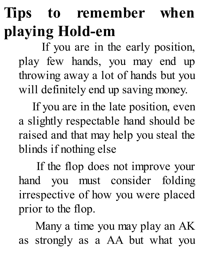# **Tips to remember when playing Hold-em**

If you are in the early position, play few hands, you may end up throwing away a lot of hands but you will definitely end up saving money.

If you are in the late position, even a slightly respectable hand should be raised and that may help you steal the blinds if nothing else

If the flop does not improve your hand you must consider folding irrespective of how you were placed prior to the flop.

Many a time you may play an AK as strongly as a AA but what you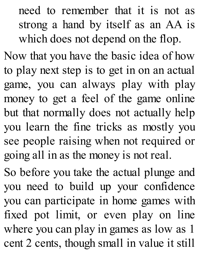need to remember that it is not as strong a hand by itself as an AA is which does not depend on the flop.

Now that you have the basic idea of how to play next step is to get in on an actual game, you can always play with play money to get a feel of the game online but that normally does not actually help you learn the fine tricks as mostly you see people raising when not required or going all in as the money is not real.

So before you take the actual plunge and you need to build up your confidence you can participate in home games with fixed pot limit, or even play on line where you can play in games as low as 1 cent 2 cents, though small in value it still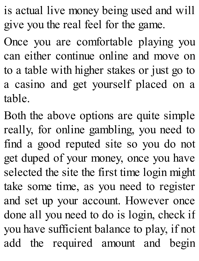is actual live money being used and will give you the real feel for the game.

Once you are comfortable playing you can either continue online and move on to a table with higher stakes or just go to a casino and get yourself placed on a table.

Both the above options are quite simple really, for online gambling, you need to find a good reputed site so you do not get duped of your money, once you have selected the site the first time login might take some time, as you need to register and set up your account. However once done all you need to do is login, check if you have sufficient balance to play, if not add the required amount and begin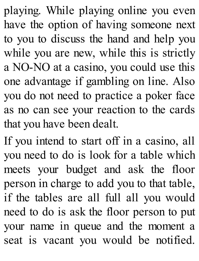playing. While playing online you even have the option of having someone next to you to discuss the hand and help you while you are new, while this is strictly a NO-NO at a casino, you could use this one advantage if gambling on line. Also you do not need to practice a poker face as no can see your reaction to the cards that you have been dealt.

If you intend to start off in a casino, all you need to do is look for a table which meets your budget and ask the floor person in charge to add you to that table, if the tables are all full all you would need to do is ask the floor person to put your name in queue and the moment a seat is vacant you would be notified.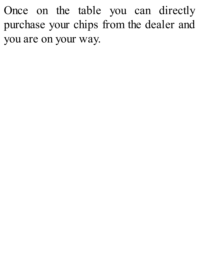Once on the table you can directly purchase your chips from the dealer and you are on your way.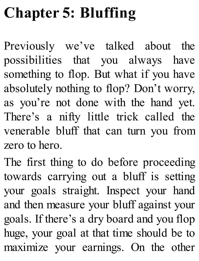# **Chapter 5: Bluffing**

Previously we've talked about the possibilities that you always have something to flop. But what if you have absolutely nothing to flop? Don't worry, as you're not done with the hand yet. There's a nifty little trick called the venerable bluff that can turn you from zero to hero.

The first thing to do before proceeding towards carrying out a bluff is setting your goals straight. Inspect your hand and then measure your bluff against your goals. If there's a dry board and you flop huge, your goal at that time should be to maximize your earnings. On the other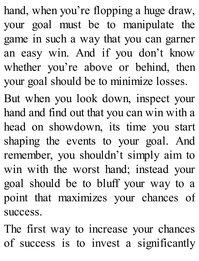hand, when you're flopping a huge draw, your goal must be to manipulate the game in such a way that you can garner an easy win. And if you don't know whether you're above or behind, then your goal should be to minimize losses.

But when you look down, inspect your hand and find out that you can win with a head on showdown, its time you start shaping the events to your goal. And remember, you shouldn't simply aim to win with the worst hand; instead your goal should be to bluff your way to a point that maximizes your chances of success.

The first way to increase your chances of success is to invest a significantly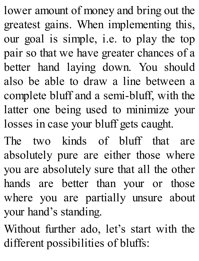lower amount of money and bring out the greatest gains. When implementing this, our goal is simple, i.e. to play the top pair so that we have greater chances of a better hand laying down. You should also be able to draw a line between a complete bluff and a semi-bluff, with the latter one being used to minimize your losses in case your bluff gets caught.

The two kinds of bluff that are absolutely pure are either those where you are absolutely sure that all the other hands are better than your or those where you are partially unsure about your hand's standing.

Without further ado, let's start with the different possibilities of bluffs: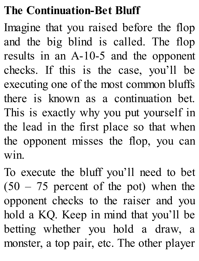### **The Continuation-Bet Bluff**

Imagine that you raised before the flop and the big blind is called. The flop results in an A-10-5 and the opponent checks. If this is the case, you'll be executing one of the most common bluffs there is known as a continuation bet. This is exactly why you put yourself in the lead in the first place so that when the opponent misses the flop, you can win.

To execute the bluff you'll need to bet  $(50 - 75)$  percent of the pot) when the opponent checks to the raiser and you hold a KQ. Keep in mind that you'll be betting whether you hold a draw, a monster, a top pair, etc. The other player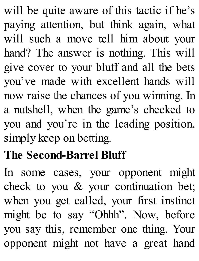will be quite aware of this tactic if he's paying attention, but think again, what will such a move tell him about your hand? The answer is nothing. This will give cover to your bluff and all the bets you've made with excellent hands will now raise the chances of you winning. In a nutshell, when the game's checked to you and you're in the leading position, simply keep on betting.

### **The Second-Barrel Bluff**

In some cases, your opponent might check to you & your continuation bet; when you get called, your first instinct might be to say "Ohhh". Now, before you say this, remember one thing. Your opponent might not have a great hand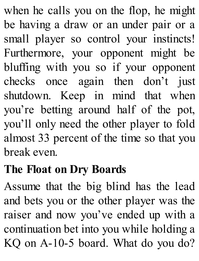when he calls you on the flop, he might be having a draw or an under pair or a small player so control your instincts! Furthermore, your opponent might be bluffing with you so if your opponent checks once again then don't just shutdown. Keep in mind that when you're betting around half of the pot, you'll only need the other player to fold almost 33 percent of the time so that you break even.

#### **The Float on Dry Boards**

Assume that the big blind has the lead and bets you or the other player was the raiser and now you've ended up with a continuation bet into you while holding a KQ on A-10-5 board. What do you do?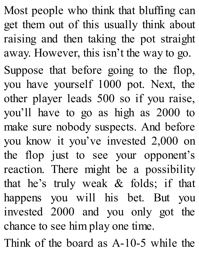Most people who think that bluffing can get them out of this usually think about raising and then taking the pot straight away. However, this isn't the way to go. Suppose that before going to the flop, you have yourself 1000 pot. Next, the other player leads 500 so if you raise, you'll have to go as high as 2000 to make sure nobody suspects. And before you know it you've invested 2,000 on the flop just to see your opponent's reaction. There might be a possibility that he's truly weak & folds; if that happens you will his bet. But you invested 2000 and you only got the chance to see him play one time.

Think of the board as A-10-5 while the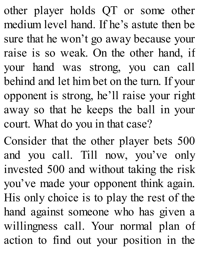other player holds QT or some other medium level hand. If he's astute then be sure that he won't go away because your raise is so weak. On the other hand, if your hand was strong, you can call behind and let him bet on the turn. If your opponent is strong, he'll raise your right away so that he keeps the ball in your court. What do you in that case?

Consider that the other player bets 500 and you call. Till now, you've only invested 500 and without taking the risk you've made your opponent think again. His only choice is to play the rest of the hand against someone who has given a willingness call. Your normal plan of action to find out your position in the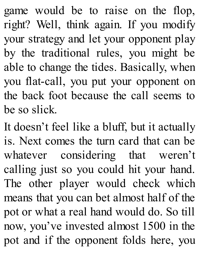game would be to raise on the flop, right? Well, think again. If you modify your strategy and let your opponent play by the traditional rules, you might be able to change the tides. Basically, when you flat-call, you put your opponent on the back foot because the call seems to be so slick.

It doesn't feel like a bluff, but it actually is. Next comes the turn card that can be whatever considering that weren't calling just so you could hit your hand. The other player would check which means that you can bet almost half of the pot or what a real hand would do. So till now, you've invested almost 1500 in the pot and if the opponent folds here, you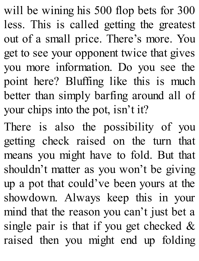will be wining his 500 flop bets for 300 less. This is called getting the greatest out of a small price. There's more. You get to see your opponent twice that gives you more information. Do you see the point here? Bluffing like this is much better than simply barfing around all of your chips into the pot, isn't it?

There is also the possibility of you getting check raised on the turn that means you might have to fold. But that shouldn't matter as you won't be giving up a pot that could've been yours at the showdown. Always keep this in your mind that the reason you can't just bet a single pair is that if you get checked  $\&$ raised then you might end up folding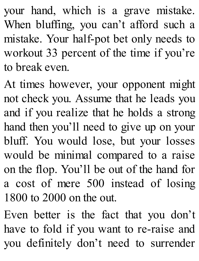your hand, which is a grave mistake. When bluffing, you can't afford such a mistake. Your half-pot bet only needs to workout 33 percent of the time if you're to break even.

At times however, your opponent might not check you. Assume that he leads you and if you realize that he holds a strong hand then you'll need to give up on your bluff. You would lose, but your losses would be minimal compared to a raise on the flop. You'll be out of the hand for a cost of mere 500 instead of losing 1800 to 2000 on the out.

Even better is the fact that you don't have to fold if you want to re-raise and you definitely don't need to surrender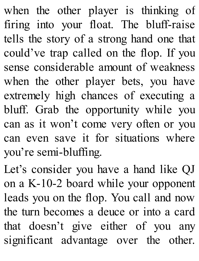when the other player is thinking of firing into your float. The bluff-raise tells the story of a strong hand one that could've trap called on the flop. If you sense considerable amount of weakness when the other player bets, you have extremely high chances of executing a bluff. Grab the opportunity while you can as it won't come very often or you can even save it for situations where you're semi-bluffing.

Let's consider you have a hand like QJ on a K-10-2 board while your opponent leads you on the flop. You call and now the turn becomes a deuce or into a card that doesn't give either of you any significant advantage over the other.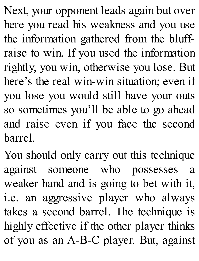Next, your opponent leads again but over here you read his weakness and you use the information gathered from the bluffraise to win. If you used the information rightly, you win, otherwise you lose. But here's the real win-win situation; even if you lose you would still have your outs so sometimes you'll be able to go ahead and raise even if you face the second barrel.

You should only carry out this technique against someone who possesses a weaker hand and is going to bet with it, i.e. an aggressive player who always takes a second barrel. The technique is highly effective if the other player thinks of you as an A-B-C player. But, against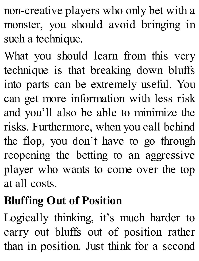non-creative players who only bet with a monster, you should avoid bringing in such a technique.

What you should learn from this very technique is that breaking down bluffs into parts can be extremely useful. You can get more information with less risk and you'll also be able to minimize the risks. Furthermore, when you call behind the flop, you don't have to go through reopening the betting to an aggressive player who wants to come over the top at all costs.

# **Bluffing Out of Position**

Logically thinking, it's much harder to carry out bluffs out of position rather than in position. Just think for a second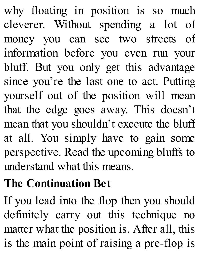why floating in position is so much cleverer. Without spending a lot of money you can see two streets of information before you even run your bluff. But you only get this advantage since you're the last one to act. Putting yourself out of the position will mean that the edge goes away. This doesn't mean that you shouldn't execute the bluff at all. You simply have to gain some perspective. Read the upcoming bluffs to understand what this means.

## **The Continuation Bet**

If you lead into the flop then you should definitely carry out this technique no matter what the position is. After all, this is the main point of raising a pre-flop is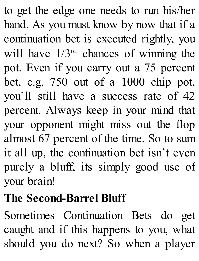to get the edge one needs to run his/her hand. As you must know by now that if a continuation bet is executed rightly, you will have  $1/3^{rd}$  chances of winning the pot. Even if you carry out a 75 percent bet, e.g. 750 out of a 1000 chip pot, you'll still have a success rate of 42 percent. Always keep in your mind that your opponent might miss out the flop almost 67 percent of the time. So to sum it all up, the continuation bet isn't even purely a bluff, its simply good use of your brain!

# **The Second-Barrel Bluff**

Sometimes Continuation Bets do get caught and if this happens to you, what should you do next? So when a player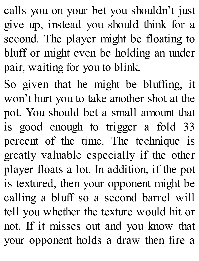calls you on your bet you shouldn't just give up, instead you should think for a second. The player might be floating to bluff or might even be holding an under pair, waiting for you to blink.

So given that he might be bluffing, it won't hurt you to take another shot at the pot. You should bet a small amount that is good enough to trigger a fold 33 percent of the time. The technique is greatly valuable especially if the other player floats a lot. In addition, if the pot is textured, then your opponent might be calling a bluff so a second barrel will tell you whether the texture would hit or not. If it misses out and you know that your opponent holds a draw then fire a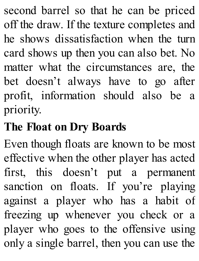second barrel so that he can be priced off the draw. If the texture completes and he shows dissatisfaction when the turn card shows up then you can also bet. No matter what the circumstances are, the bet doesn't always have to go after profit, information should also be a priority.

#### **The Float on Dry Boards**

Even though floats are known to be most effective when the other player has acted first, this doesn't put a permanent sanction on floats. If you're playing against a player who has a habit of freezing up whenever you check or a player who goes to the offensive using only a single barrel, then you can use the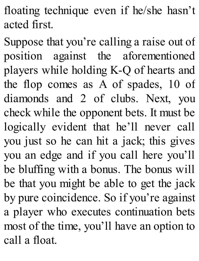floating technique even if he/she hasn't acted first.

Suppose that you're calling a raise out of position against the aforementioned players while holding K-Q of hearts and the flop comes as A of spades, 10 of diamonds and 2 of clubs. Next, you check while the opponent bets. It must be logically evident that he'll never call you just so he can hit a jack; this gives you an edge and if you call here you'll be bluffing with a bonus. The bonus will be that you might be able to get the jack by pure coincidence. So if you're against a player who executes continuation bets most of the time, you'll have an option to call a float.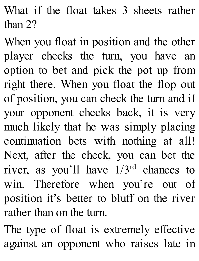What if the float takes 3 sheets rather than 2?

When you float in position and the other player checks the turn, you have an option to bet and pick the pot up from right there. When you float the flop out of position, you can check the turn and if your opponent checks back, it is very much likely that he was simply placing continuation bets with nothing at all! Next, after the check, you can bet the river, as you'll have  $1/3<sup>rd</sup>$  chances to win. Therefore when you're out of position it's better to bluff on the river rather than on the turn.

The type of float is extremely effective against an opponent who raises late in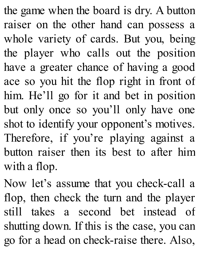the game when the board is dry. A button raiser on the other hand can possess a whole variety of cards. But you, being the player who calls out the position have a greater chance of having a good ace so you hit the flop right in front of him. He'll go for it and bet in position but only once so you'll only have one shot to identify your opponent's motives. Therefore, if you're playing against a button raiser then its best to after him with a flop.

Now let's assume that you check-call a flop, then check the turn and the player still takes a second bet instead of shutting down. If this is the case, you can go for a head on check-raise there. Also,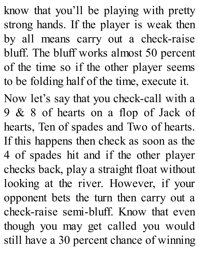know that you'll be playing with pretty strong hands. If the player is weak then by all means carry out a check-raise bluff. The bluff works almost 50 percent of the time so if the other player seems to be folding half of the time, execute it.

Now let's say that you check-call with a 9 & 8 of hearts on a flop of Jack of hearts, Ten of spades and Two of hearts. If this happens then check as soon as the 4 of spades hit and if the other player checks back, play a straight float without looking at the river. However, if your opponent bets the turn then carry out a check-raise semi-bluff. Know that even though you may get called you would still have a 30 percent chance of winning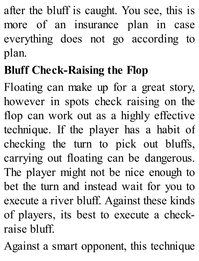after the bluff is caught. You see, this is more of an insurance plan in case everything does not go according to plan.

# **Bluff Check-Raising the Flop**

Floating can make up for a great story, however in spots check raising on the flop can work out as a highly effective technique. If the player has a habit of checking the turn to pick out bluffs, carrying out floating can be dangerous. The player might not be nice enough to bet the turn and instead wait for you to execute a river bluff. Against these kinds of players, its best to execute a checkraise bluff.

Against a smart opponent, this technique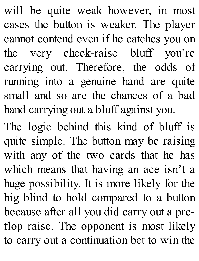will be quite weak however, in most cases the button is weaker. The player cannot contend even if he catches you on the very check-raise bluff you're carrying out. Therefore, the odds of running into a genuine hand are quite small and so are the chances of a bad hand carrying out a bluff against you.

The logic behind this kind of bluff is quite simple. The button may be raising with any of the two cards that he has which means that having an ace isn't a huge possibility. It is more likely for the big blind to hold compared to a button because after all you did carry out a preflop raise. The opponent is most likely to carry out a continuation bet to win the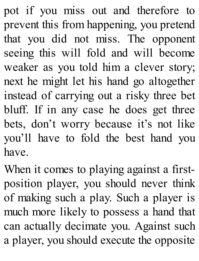pot if you miss out and therefore to prevent this from happening, you pretend that you did not miss. The opponent seeing this will fold and will become weaker as you told him a clever story; next he might let his hand go altogether instead of carrying out a risky three bet bluff. If in any case he does get three bets, don't worry because it's not like you'll have to fold the best hand you have.

When it comes to playing against a firstposition player, you should never think of making such a play. Such a player is much more likely to possess a hand that can actually decimate you. Against such a player, you should execute the opposite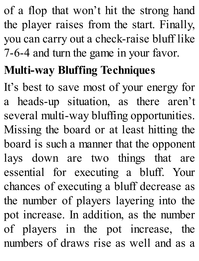of a flop that won't hit the strong hand the player raises from the start. Finally, you can carry out a check-raise bluff like 7-6-4 and turn the game in your favor.

# **Multi-way Bluffing Techniques**

It's best to save most of your energy for a heads-up situation, as there aren't several multi-way bluffing opportunities. Missing the board or at least hitting the board is such a manner that the opponent lays down are two things that are essential for executing a bluff. Your chances of executing a bluff decrease as the number of players layering into the pot increase. In addition, as the number of players in the pot increase, the numbers of draws rise as well and as a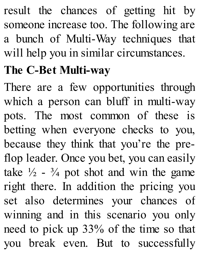result the chances of getting hit by someone increase too. The following are a bunch of Multi-Way techniques that will help you in similar circumstances.

### **The C-Bet Multi-way**

There are a few opportunities through which a person can bluff in multi-way pots. The most common of these is betting when everyone checks to you, because they think that you're the preflop leader. Once you bet, you can easily take  $\frac{1}{2}$  -  $\frac{3}{4}$  pot shot and win the game right there. In addition the pricing you set also determines your chances of winning and in this scenario you only need to pick up 33% of the time so that you break even. But to successfully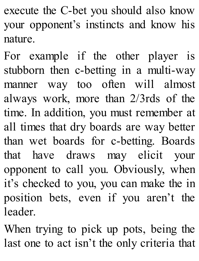execute the C-bet you should also know your opponent's instincts and know his nature.

For example if the other player is stubborn then c-betting in a multi-way manner way too often will almost always work, more than 2/3rds of the time. In addition, you must remember at all times that dry boards are way better than wet boards for c-betting. Boards that have draws may elicit your opponent to call you. Obviously, when it's checked to you, you can make the in position bets, even if you aren't the leader.

When trying to pick up pots, being the last one to act isn't the only criteria that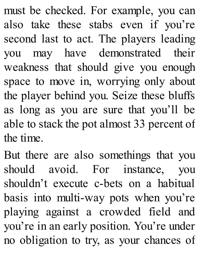must be checked. For example, you can also take these stabs even if you're second last to act. The players leading you may have demonstrated their weakness that should give you enough space to move in, worrying only about the player behind you. Seize these bluffs as long as you are sure that you'll be able to stack the pot almost 33 percent of the time.

But there are also somethings that you should avoid. For instance, you shouldn't execute c-bets on a habitual basis into multi-way pots when you're playing against a crowded field and you're in an early position. You're under no obligation to try, as your chances of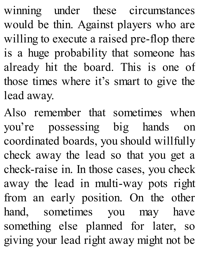winning under these circumstances would be thin. Against players who are willing to execute a raised pre-flop there is a huge probability that someone has already hit the board. This is one of those times where it's smart to give the lead away.

Also remember that sometimes when you're possessing big hands on coordinated boards, you should willfully check away the lead so that you get a check-raise in. In those cases, you check away the lead in multi-way pots right from an early position. On the other hand, sometimes you may have something else planned for later, so giving your lead right away might not be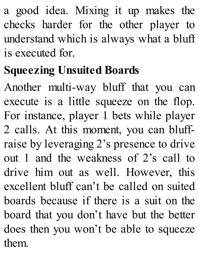a good idea. Mixing it up makes the checks harder for the other player to understand which is always what a bluff is executed for.

## **Squeezing Unsuited Boards**

Another multi-way bluff that you can execute is a little squeeze on the flop. For instance, player 1 bets while player 2 calls. At this moment, you can bluffraise by leveraging 2's presence to drive out 1 and the weakness of 2's call to drive him out as well. However, this excellent bluff can't be called on suited boards because if there is a suit on the board that you don't have but the better does then you won't be able to squeeze them.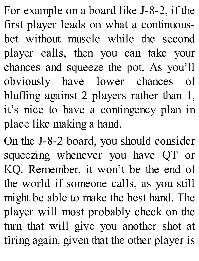For example on a board like J-8-2, if the first player leads on what a continuousbet without muscle while the second player calls, then you can take your chances and squeeze the pot. As you'll obviously have lower chances of bluffing against 2 players rather than 1, it's nice to have a contingency plan in place like making a hand.

On the J-8-2 board, you should consider squeezing whenever you have QT or KQ. Remember, it won't be the end of the world if someone calls, as you still might be able to make the best hand. The player will most probably check on the turn that will give you another shot at firing again, given that the other player is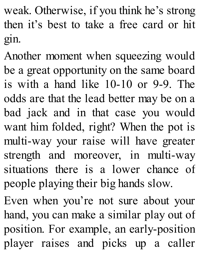weak. Otherwise, if you think he's strong then it's best to take a free card or hit gin.

Another moment when squeezing would be a great opportunity on the same board is with a hand like 10-10 or 9-9. The odds are that the lead better may be on a bad jack and in that case you would want him folded, right? When the pot is multi-way your raise will have greater strength and moreover, in multi-way situations there is a lower chance of people playing their big hands slow.

Even when you're not sure about your hand, you can make a similar play out of position. For example, an early-position player raises and picks up a caller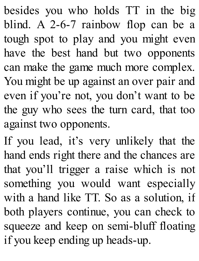besides you who holds TT in the big blind. A 2-6-7 rainbow flop can be a tough spot to play and you might even have the best hand but two opponents can make the game much more complex. You might be up against an over pair and even if you're not, you don't want to be the guy who sees the turn card, that too against two opponents.

If you lead, it's very unlikely that the hand ends right there and the chances are that you'll trigger a raise which is not something you would want especially with a hand like TT. So as a solution, if both players continue, you can check to squeeze and keep on semi-bluff floating if you keep ending up heads-up.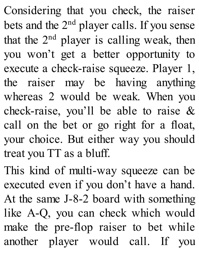Considering that you check, the raiser bets and the 2<sup>nd</sup> player calls. If you sense that the  $2<sup>nd</sup>$  player is calling weak, then you won't get a better opportunity to execute a check-raise squeeze. Player 1, the raiser may be having anything whereas 2 would be weak. When you check-raise, you'll be able to raise & call on the bet or go right for a float, your choice. But either way you should treat you TT as a bluff.

This kind of multi-way squeeze can be executed even if you don't have a hand. At the same J-8-2 board with something like A-Q, you can check which would make the pre-flop raiser to bet while another player would call. If you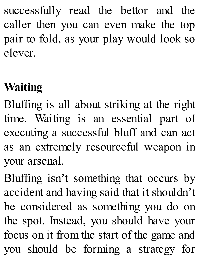successfully read the bettor and the caller then you can even make the top pair to fold, as your play would look so clever.

## **Waiting**

Bluffing is all about striking at the right time. Waiting is an essential part of executing a successful bluff and can act as an extremely resourceful weapon in your arsenal.

Bluffing isn't something that occurs by accident and having said that it shouldn't be considered as something you do on the spot. Instead, you should have your focus on it from the start of the game and you should be forming a strategy for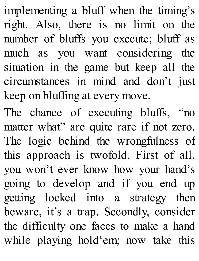implementing a bluff when the timing's right. Also, there is no limit on the number of bluffs you execute; bluff as much as you want considering the situation in the game but keep all the circumstances in mind and don't just keep on bluffing at every move.

The chance of executing bluffs, "no matter what" are quite rare if not zero. The logic behind the wrongfulness of this approach is twofold. First of all, you won't ever know how your hand's going to develop and if you end up getting locked into a strategy then beware, it's a trap. Secondly, consider the difficulty one faces to make a hand while playing hold'em; now take this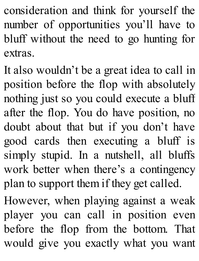consideration and think for yourself the number of opportunities you'll have to bluff without the need to go hunting for extras.

It also wouldn't be a great idea to call in position before the flop with absolutely nothing just so you could execute a bluff after the flop. You do have position, no doubt about that but if you don't have good cards then executing a bluff is simply stupid. In a nutshell, all bluffs work better when there's a contingency plan to support them if they get called.

However, when playing against a weak player you can call in position even before the flop from the bottom. That would give you exactly what you want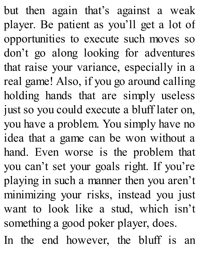but then again that's against a weak player. Be patient as you'll get a lot of opportunities to execute such moves so don't go along looking for adventures that raise your variance, especially in a real game! Also, if you go around calling holding hands that are simply useless just so you could execute a bluff later on, you have a problem. You simply have no idea that a game can be won without a hand. Even worse is the problem that you can't set your goals right. If you're playing in such a manner then you aren't minimizing your risks, instead you just want to look like a stud, which isn't something a good poker player, does.

In the end however, the bluff is an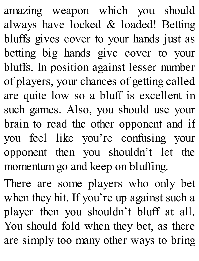amazing weapon which you should always have locked & loaded! Betting bluffs gives cover to your hands just as betting big hands give cover to your bluffs. In position against lesser number of players, your chances of getting called are quite low so a bluff is excellent in such games. Also, you should use your brain to read the other opponent and if you feel like you're confusing your opponent then you shouldn't let the momentum go and keep on bluffing.

There are some players who only bet when they hit. If you're up against such a player then you shouldn't bluff at all. You should fold when they bet, as there are simply too many other ways to bring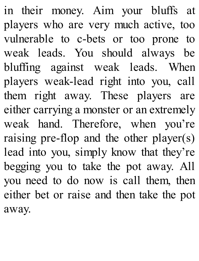in their money. Aim your bluffs at players who are very much active, too vulnerable to c-bets or too prone to weak leads. You should always be bluffing against weak leads. When players weak-lead right into you, call them right away. These players are either carrying a monster or an extremely weak hand. Therefore, when you're raising pre-flop and the other player(s) lead into you, simply know that they're begging you to take the pot away. All you need to do now is call them, then either bet or raise and then take the pot away.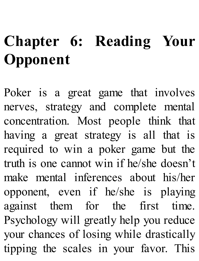# **Chapter 6: Reading Your [Opponent](http://amzn.to/1GKXOzz)**

Poker is a great game that involves nerves, strategy and complete mental concentration. Most people think that having a great strategy is all that is required to win a poker game but the truth is one cannot win if he/she doesn't make mental inferences about his/her opponent, even if he/she is playing against them for the first time. Psychology will greatly help you reduce your chances of losing while drastically tipping the scales in your favor. This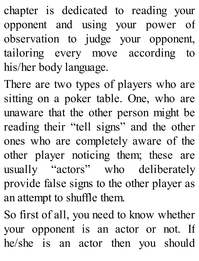chapter is dedicated to reading your opponent and using your power of observation to judge your opponent, tailoring every move according to his/her body language.

There are two types of players who are sitting on a poker table. One, who are unaware that the other person might be reading their "tell signs" and the other ones who are completely aware of the other player noticing them; these are usually "actors" who deliberately provide false signs to the other player as an attempt to shuffle them.

So first of all, you need to know whether your opponent is an actor or not. If he/she is an actor then you should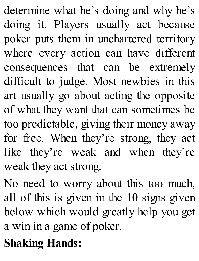determine what he's doing and why he's doing it. Players usually act because poker puts them in unchartered territory where every action can have different consequences that can be extremely difficult to judge. Most newbies in this art usually go about acting the opposite of what they want that can sometimes be too predictable, giving their money away for free. When they're strong, they act like they're weak and when they're weak they act strong.

No need to worry about this too much, all of this is given in the 10 signs given below which would greatly help you get a win in a game of poker.

#### **Shaking Hands:**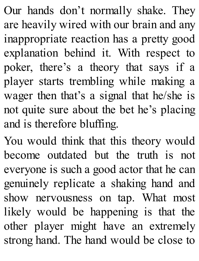Our hands don't normally shake. They are heavily wired with our brain and any inappropriate reaction has a pretty good explanation behind it. With respect to poker, there's a theory that says if a player starts trembling while making a wager then that's a signal that he/she is not quite sure about the bet he's placing and is therefore bluffing.

You would think that this theory would become outdated but the truth is not everyone is such a good actor that he can genuinely replicate a shaking hand and show nervousness on tap. What most likely would be happening is that the other player might have an extremely strong hand. The hand would be close to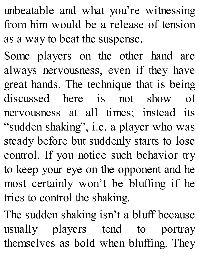unbeatable and what you're witnessing from him would be a release of tension as a way to beat the suspense.

Some players on the other hand are always nervousness, even if they have great hands. The technique that is being discussed here is not show of nervousness at all times; instead its "sudden shaking", i.e. a player who was steady before but suddenly starts to lose control. If you notice such behavior try to keep your eye on the opponent and he most certainly won't be bluffing if he tries to control the shaking.

The sudden shaking isn't a bluff because usually players tend to portray themselves as bold when bluffing. They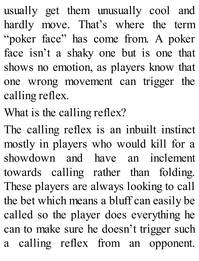usually get them unusually cool and hardly move. That's where the term "poker face" has come from. A poker face isn't a shaky one but is one that shows no emotion, as players know that one wrong movement can trigger the calling reflex.

What is the calling reflex?

The calling reflex is an inbuilt instinct mostly in players who would kill for a showdown and have an inclement towards calling rather than folding. These players are always looking to call the bet which means a bluff can easily be called so the player does everything he can to make sure he doesn't trigger such a calling reflex from an opponent.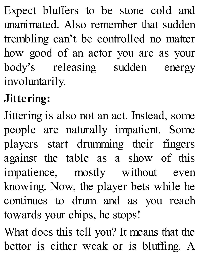Expect bluffers to be stone cold and unanimated. Also remember that sudden trembling can't be controlled no matter how good of an actor you are as your body's releasing sudden energy involuntarily.

#### **Jittering:**

Jittering is also not an act. Instead, some people are naturally impatient. Some players start drumming their fingers against the table as a show of this impatience, mostly without even knowing. Now, the player bets while he continues to drum and as you reach towards your chips, he stops!

What does this tell you? It means that the bettor is either weak or is bluffing. A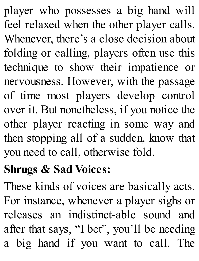player who possesses a big hand will feel relaxed when the other player calls. Whenever, there's a close decision about folding or calling, players often use this technique to show their impatience or nervousness. However, with the passage of time most players develop control over it. But nonetheless, if you notice the other player reacting in some way and then stopping all of a sudden, know that you need to call, otherwise fold.

#### **Shrugs & Sad Voices:**

These kinds of voices are basically acts. For instance, whenever a player sighs or releases an indistinct-able sound and after that says, "I bet", you'll be needing a big hand if you want to call. The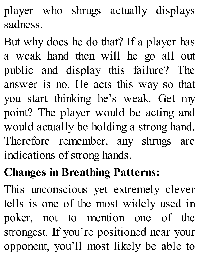player who shrugs actually displays sadness.

But why does he do that? If a player has a weak hand then will he go all out public and display this failure? The answer is no. He acts this way so that you start thinking he's weak. Get my point? The player would be acting and would actually be holding a strong hand. Therefore remember, any shrugs are indications of strong hands.

## **Changes in Breathing Patterns:**

This unconscious yet extremely clever tells is one of the most widely used in poker, not to mention one of the strongest. If you're positioned near your opponent, you'll most likely be able to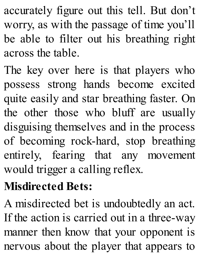accurately figure out this tell. But don't worry, as with the passage of time you'll be able to filter out his breathing right across the table.

The key over here is that players who possess strong hands become excited quite easily and star breathing faster. On the other those who bluff are usually disguising themselves and in the process of becoming rock-hard, stop breathing entirely, fearing that any movement would trigger a calling reflex.

#### **Misdirected Bets:**

A misdirected bet is undoubtedly an act. If the action is carried out in a three-way manner then know that your opponent is nervous about the player that appears to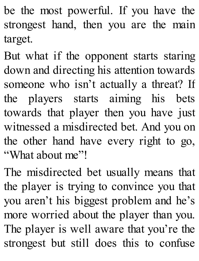be the most powerful. If you have the strongest hand, then you are the main target.

But what if the opponent starts staring down and directing his attention towards someone who isn't actually a threat? If the players starts aiming his bets towards that player then you have just witnessed a misdirected bet. And you on the other hand have every right to go, "What about me"!

The misdirected bet usually means that the player is trying to convince you that you aren't his biggest problem and he's more worried about the player than you. The player is well aware that you're the strongest but still does this to confuse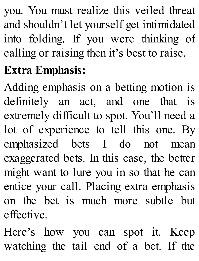you. You must realize this veiled threat and shouldn't let yourself get intimidated into folding. If you were thinking of calling or raising then it's best to raise.

## **Extra Emphasis:**

Adding emphasis on a betting motion is definitely an act, and one that is extremely difficult to spot. You'll need a lot of experience to tell this one. By emphasized bets I do not mean exaggerated bets. In this case, the better might want to lure you in so that he can entice your call. Placing extra emphasis on the bet is much more subtle but effective.

Here's how you can spot it. Keep watching the tail end of a bet. If the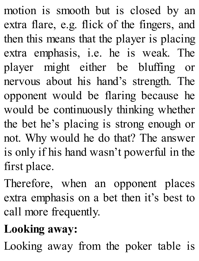motion is smooth but is closed by an extra flare, e.g. flick of the fingers, and then this means that the player is placing extra emphasis, i.e. he is weak. The player might either be bluffing or nervous about his hand's strength. The opponent would be flaring because he would be continuously thinking whether the bet he's placing is strong enough or not. Why would he do that? The answer is only if his hand wasn't powerful in the first place.

Therefore, when an opponent places extra emphasis on a bet then it's best to call more frequently.

## **Looking away:**

Looking away from the poker table is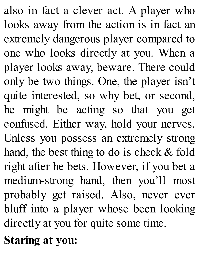also in fact a clever act. A player who looks away from the action is in fact an extremely dangerous player compared to one who looks directly at you. When a player looks away, beware. There could only be two things. One, the player isn't quite interested, so why bet, or second, he might be acting so that you get confused. Either way, hold your nerves. Unless you possess an extremely strong hand, the best thing to do is check & fold right after he bets. However, if you bet a medium-strong hand, then you'll most probably get raised. Also, never ever bluff into a player whose been looking directly at you for quite some time.

#### **Staring at you:**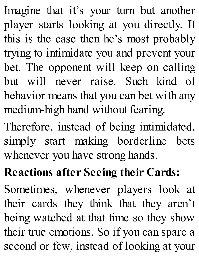Imagine that it's your turn but another player starts looking at you directly. If this is the case then he's most probably trying to intimidate you and prevent your bet. The opponent will keep on calling but will never raise. Such kind of behavior means that you can bet with any medium-high hand without fearing.

Therefore, instead of being intimidated, simply start making borderline bets whenever you have strong hands.

#### **Reactions after Seeing their Cards:**

Sometimes, whenever players look at their cards they think that they aren't being watched at that time so they show their true emotions. So if you can spare a second or few, instead of looking at your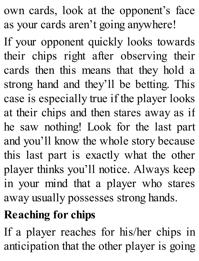own cards, look at the opponent's face as your cards aren't going anywhere!

If your opponent quickly looks towards their chips right after observing their cards then this means that they hold a strong hand and they'll be betting. This case is especially true if the player looks at their chips and then stares away as if he saw nothing! Look for the last part and you'll know the whole story because this last part is exactly what the other player thinks you'll notice. Always keep in your mind that a player who stares away usually possesses strong hands.

## **Reaching for chips**

If a player reaches for his/her chips in anticipation that the other player is going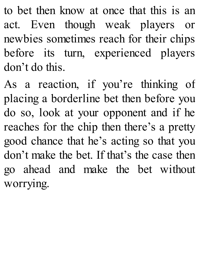to bet then know at once that this is an act. Even though weak players or newbies sometimes reach for their chips before its turn, experienced players don't do this.

As a reaction, if you're thinking of placing a borderline bet then before you do so, look at your opponent and if he reaches for the chip then there's a pretty good chance that he's acting so that you don't make the bet. If that's the case then go ahead and make the bet without worrying.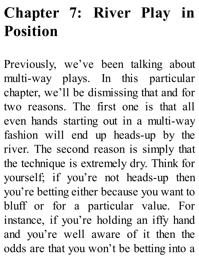## **Chapter 7: River Play in Position**

Previously, we've been talking about multi-way plays. In this particular chapter, we'll be dismissing that and for two reasons. The first one is that all even hands starting out in a multi-way fashion will end up heads-up by the river. The second reason is simply that the technique is extremely dry. Think for yourself; if you're not heads-up then you're betting either because you want to bluff or for a particular value. For instance, if you're holding an iffy hand and you're well aware of it then the odds are that you won't be betting into a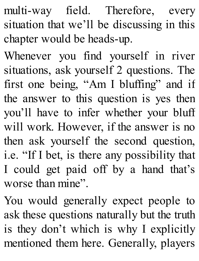multi-way field. Therefore, every situation that we'll be discussing in this chapter would be heads-up.

Whenever you find yourself in river situations, ask yourself 2 questions. The first one being, "Am I bluffing" and if the answer to this question is yes then you'll have to infer whether your bluff will work. However, if the answer is no then ask yourself the second question, i.e. "If I bet, is there any possibility that I could get paid off by a hand that's worse than mine".

You would generally expect people to ask these questions naturally but the truth is they don't which is why I explicitly mentioned them here. Generally, players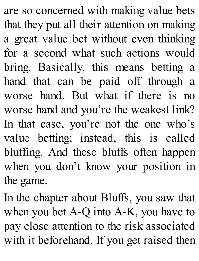are so concerned with making value bets that they put all their attention on making a great value bet without even thinking for a second what such actions would bring. Basically, this means betting a hand that can be paid off through a worse hand. But what if there is no worse hand and you're the weakest link? In that case, you're not the one who's value betting; instead, this is called bluffing. And these bluffs often happen when you don't know your position in the game.

In the chapter about Bluffs, you saw that when you bet A-Q into A-K, you have to pay close attention to the risk associated with it beforehand. If you get raised then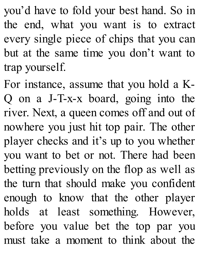you'd have to fold your best hand. So in the end, what you want is to extract every single piece of chips that you can but at the same time you don't want to trap yourself.

For instance, assume that you hold a K-Q on a J-T-x-x board, going into the river. Next, a queen comes off and out of nowhere you just hit top pair. The other player checks and it's up to you whether you want to bet or not. There had been betting previously on the flop as well as the turn that should make you confident enough to know that the other player holds at least something. However, before you value bet the top par you must take a moment to think about the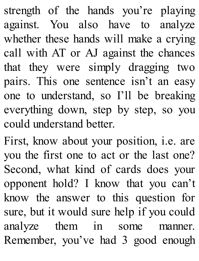strength of the hands you're playing against. You also have to analyze whether these hands will make a crying call with AT or AJ against the chances that they were simply dragging two pairs. This one sentence isn't an easy one to understand, so I'll be breaking everything down, step by step, so you could understand better.

First, know about your position, i.e. are you the first one to act or the last one? Second, what kind of cards does your opponent hold? I know that you can't know the answer to this question for sure, but it would sure help if you could analyze them in some manner. Remember, you've had 3 good enough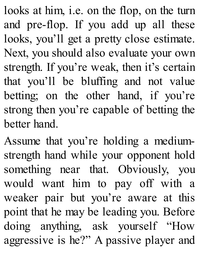looks at him, i.e. on the flop, on the turn and pre-flop. If you add up all these looks, you'll get a pretty close estimate. Next, you should also evaluate your own strength. If you're weak, then it's certain that you'll be bluffing and not value betting; on the other hand, if you're strong then you're capable of betting the better hand.

Assume that you're holding a mediumstrength hand while your opponent hold something near that. Obviously, you would want him to pay off with a weaker pair but you're aware at this point that he may be leading you. Before doing anything, ask yourself "How aggressive is he?" A passive player and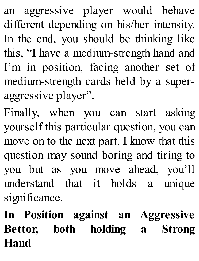an aggressive player would behave different depending on his/her intensity. In the end, you should be thinking like this, "I have a medium-strength hand and I'm in position, facing another set of medium-strength cards held by a superaggressive player".

Finally, when you can start asking yourself this particular question, you can move on to the next part. I know that this question may sound boring and tiring to you but as you move ahead, you'll understand that it holds a unique significance.

**In Position against an Aggressive Bettor, both holding a Strong Hand**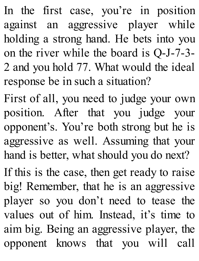In the first case, you're in position against an aggressive player while holding a strong hand. He bets into you on the river while the board is Q-J-7-3- 2 and you hold 77. What would the ideal response be in such a situation?

First of all, you need to judge your own position. After that you judge your opponent's. You're both strong but he is aggressive as well. Assuming that your hand is better, what should you do next?

If this is the case, then get ready to raise big! Remember, that he is an aggressive player so you don't need to tease the values out of him. Instead, it's time to aim big. Being an aggressive player, the opponent knows that you will call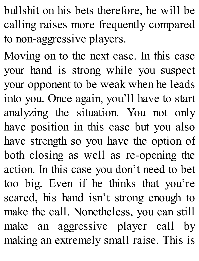bullshit on his bets therefore, he will be calling raises more frequently compared to non-aggressive players.

Moving on to the next case. In this case your hand is strong while you suspect your opponent to be weak when he leads into you. Once again, you'll have to start analyzing the situation. You not only have position in this case but you also have strength so you have the option of both closing as well as re-opening the action. In this case you don't need to bet too big. Even if he thinks that you're scared, his hand isn't strong enough to make the call. Nonetheless, you can still make an aggressive player call by making an extremely small raise. This is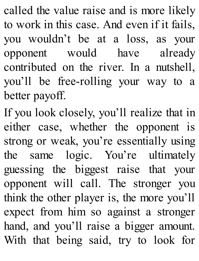called the value raise and is more likely to work in this case. And even if it fails, you wouldn't be at a loss, as your opponent would have already contributed on the river. In a nutshell, you'll be free-rolling your way to a better payoff.

If you look closely, you'll realize that in either case, whether the opponent is strong or weak, you're essentially using the same logic. You're ultimately guessing the biggest raise that your opponent will call. The stronger you think the other player is, the more you'll expect from him so against a stronger hand, and you'll raise a bigger amount. With that being said, try to look for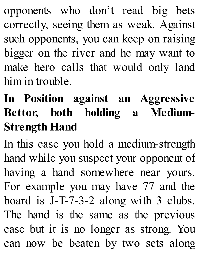opponents who don't read big bets correctly, seeing them as weak. Against such opponents, you can keep on raising bigger on the river and he may want to make hero calls that would only land him in trouble.

#### **In Position against an [Aggressive](http://amzn.to/1GKXOzz) Bettor, both holding a Medium-Strength Hand**

In this case you hold a medium-strength hand while you suspect your opponent of having a hand somewhere near yours. For example you may have 77 and the board is J-T-7-3-2 along with 3 clubs. The hand is the same as the previous case but it is no longer as strong. You can now be beaten by two sets along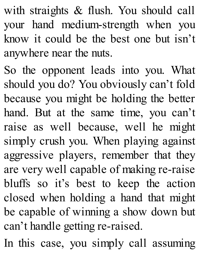with straights & flush. You should call your hand medium-strength when you know it could be the best one but isn't anywhere near the nuts.

So the opponent leads into you. What should you do? You obviously can't fold because you might be holding the better hand. But at the same time, you can't raise as well because, well he might simply crush you. When playing against aggressive players, remember that they are very well capable of making re-raise bluffs so it's best to keep the action closed when holding a hand that might be capable of winning a show down but can't handle getting re-raised.

In this case, you simply call assuming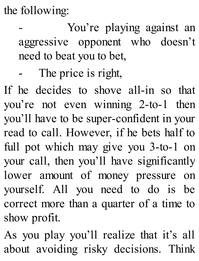the following:

You're playing against an aggressive opponent who doesn't need to beat you to bet,

The price is right,

If he decides to shove all-in so that you're not even winning 2-to-1 then you'll have to be super-confident in your read to call. However, if he bets half to full pot which may give you 3-to-1 on your call, then you'll have significantly lower amount of money pressure on yourself. All you need to do is be correct more than a quarter of a time to show profit.

As you play you'll realize that it's all about avoiding risky decisions. Think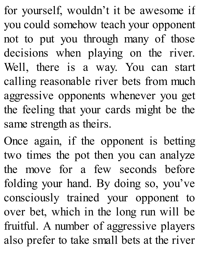for yourself, wouldn't it be awesome if you could somehow teach your opponent not to put you through many of those decisions when playing on the river. Well, there is a way. You can start calling reasonable river bets from much aggressive opponents whenever you get the feeling that your cards might be the same strength as theirs.

Once again, if the opponent is betting two times the pot then you can analyze the move for a few seconds before folding your hand. By doing so, you've consciously trained your opponent to over bet, which in the long run will be fruitful. A number of aggressive players also prefer to take small bets at the river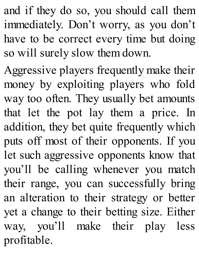and if they do so, you should call them immediately. Don't worry, as you don't have to be correct every time but doing so will surely slow them down.

Aggressive players frequently make their money by exploiting players who fold way too often. They usually bet amounts that let the pot lay them a price. In addition, they bet quite frequently which puts off most of their opponents. If you let such aggressive opponents know that you'll be calling whenever you match their range, you can successfully bring an alteration to their strategy or better yet a change to their betting size. Either way, you'll make their play less profitable.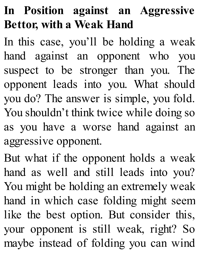#### **In Position against an Aggressive Bettor, with a Weak Hand**

In this case, you'll be holding a weak hand against an opponent who you suspect to be stronger than you. The opponent leads into you. What should you do? The answer is simple, you fold. You shouldn't think twice while doing so as you have a worse hand against an aggressive opponent.

But what if the opponent holds a weak hand as well and still leads into you? You might be holding an extremely weak hand in which case folding might seem like the best option. But consider this, your opponent is still weak, right? So maybe instead of folding you can wind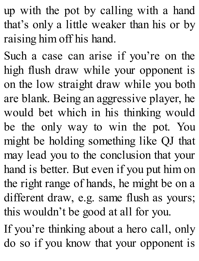up with the pot by calling with a hand that's only a little weaker than his or by raising him off his hand.

Such a case can arise if you're on the high flush draw while your opponent is on the low straight draw while you both are blank. Being an aggressive player, he would bet which in his thinking would be the only way to win the pot. You might be holding something like QJ that may lead you to the conclusion that your hand is better. But even if you put him on the right range of hands, he might be on a different draw, e.g. same flush as yours; this wouldn't be good at all for you.

If you're thinking about a hero call, only do so if you know that your opponent is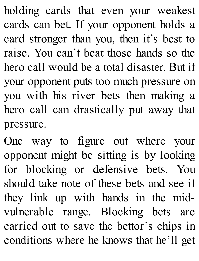holding cards that even your weakest cards can bet. If your opponent holds a card stronger than you, then it's best to raise. You can't beat those hands so the hero call would be a total disaster. But if your opponent puts too much pressure on you with his river bets then making a hero call can drastically put away that pressure.

One way to figure out where your opponent might be sitting is by looking for blocking or defensive bets. You should take note of these bets and see if they link up with hands in the midvulnerable range. Blocking bets are carried out to save the bettor's chips in conditions where he knows that he'll get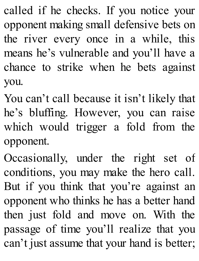called if he checks. If you notice your opponent making small defensive bets on the river every once in a while, this means he's vulnerable and you'll have a chance to strike when he bets against you.

You can't call because it isn't likely that he's bluffing. However, you can raise which would trigger a fold from the opponent.

Occasionally, under the right set of conditions, you may make the hero call. But if you think that you're against an opponent who thinks he has a better hand then just fold and move on. With the passage of time you'll realize that you can't just assume that your hand is better;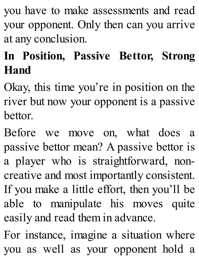you have to make assessments and read your opponent. Only then can you arrive at any conclusion.

# **In Position, Passive Bettor, Strong Hand**

Okay, this time you're in position on the river but now your opponent is a passive bettor.

Before we move on, what does a passive bettor mean? A passive bettor is a player who is straightforward, noncreative and most importantly consistent. If you make a little effort, then you'll be able to manipulate his moves quite easily and read them in advance.

For instance, imagine a situation where you as well as your opponent hold a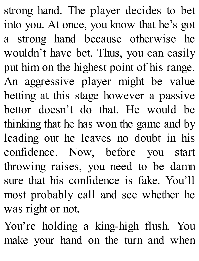strong hand. The player decides to bet into you. At once, you know that he's got a strong hand because otherwise he wouldn't have bet. Thus, you can easily put him on the highest point of his range. An aggressive player might be value betting at this stage however a passive bettor doesn't do that. He would be thinking that he has won the game and by leading out he leaves no doubt in his confidence. Now, before you start throwing raises, you need to be damn sure that his confidence is fake. You'll most probably call and see whether he was right or not.

You're holding a king-high flush. You make your hand on the turn and when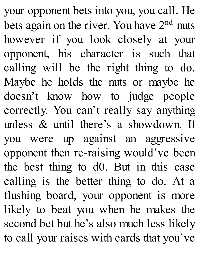your opponent bets into you, you call. He bets again on the river. You have 2<sup>nd</sup> nuts however if you look closely at your opponent, his character is such that calling will be the right thing to do. Maybe he holds the nuts or maybe he doesn't know how to judge people correctly. You can't really say anything unless & until there's a showdown. If you were up against an aggressive opponent then re-raising would've been the best thing to d0. But in this case calling is the better thing to do. At a flushing board, your opponent is more likely to beat you when he makes the second bet but he's also much less likely to call your raises with cards that you've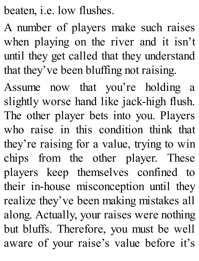beaten, i.e. low flushes.

A number of players make such raises when playing on the river and it isn't until they get called that they understand that they've been bluffing not raising.

Assume now that you're holding a slightly worse hand like jack-high flush. The other player bets into you. Players who raise in this condition think that they're raising for a value, trying to win chips from the other player. These players keep themselves confined to their in-house misconception until they realize they've been making mistakes all along. Actually, your raises were nothing but bluffs. Therefore, you must be well aware of your raise's value before it's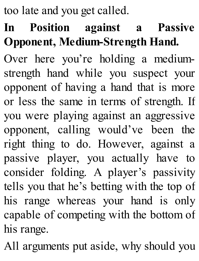too late and you get called.

# **In Position against a Passive Opponent, Medium-Strength Hand.**

Over here you're holding a mediumstrength hand while you suspect your opponent of having a hand that is more or less the same in terms of strength. If you were playing against an aggressive opponent, calling would've been the right thing to do. However, against a passive player, you actually have to consider folding. A player's passivity tells you that he's betting with the top of his range whereas your hand is only capable of competing with the bottom of his range.

All arguments put aside, why should you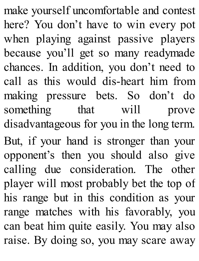make yourself uncomfortable and contest here? You don't have to win every pot when playing against passive players because you'll get so many readymade chances. In addition, you don't need to call as this would dis-heart him from making pressure bets. So don't do something that will prove disadvantageous for you in the long term. But, if your hand is stronger than your opponent's then you should also give calling due consideration. The other player will most probably bet the top of his range but in this condition as your range matches with his favorably, you can beat him quite easily. You may also raise. By doing so, you may scare away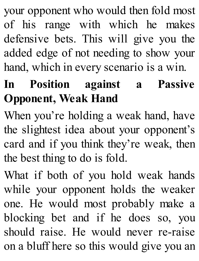your opponent who would then fold most of his range with which he makes defensive bets. This will give you the added edge of not needing to show your hand, which in every scenario is a win.

# **In Position against a Passive Opponent, Weak Hand**

When you're holding a weak hand, have the slightest idea about your opponent's card and if you think they're weak, then the best thing to do is fold.

What if both of you hold weak hands while your opponent holds the weaker one. He would most probably make a blocking bet and if he does so, you should raise. He would never re-raise on a bluff here so this would give you an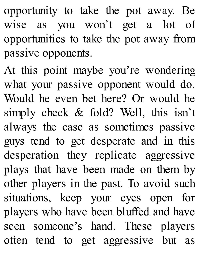opportunity to take the pot away. Be wise as you won't get a lot of opportunities to take the pot away from passive opponents.

At this point maybe you're wondering what your passive opponent would do. Would he even bet here? Or would he simply check & fold? Well, this isn't always the case as sometimes passive guys tend to get desperate and in this desperation they replicate aggressive plays that have been made on them by other players in the past. To avoid such situations, keep your eyes open for players who have been bluffed and have seen someone's hand. These players often tend to get aggressive but as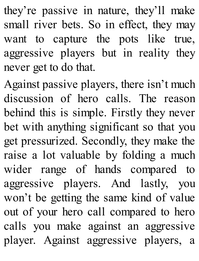they're passive in nature, they'll make small river bets. So in effect, they may want to capture the pots like true, aggressive players but in reality they never get to do that.

Against passive players, there isn't much discussion of hero calls. The reason behind this is simple. Firstly they never bet with anything significant so that you get pressurized. Secondly, they make the raise a lot valuable by folding a much wider range of hands compared to aggressive players. And lastly, you won't be getting the same kind of value out of your hero call compared to hero calls you make against an aggressive player. Against aggressive players, a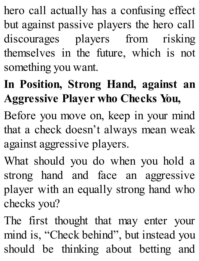hero call actually has a confusing effect but against passive players the hero call discourages players from risking themselves in the future, which is not something you want.

# **In Position, Strong Hand, against an Aggressive Player who Checks You,**

Before you move on, keep in your mind that a check doesn't always mean weak against aggressive players.

What should you do when you hold a strong hand and face an aggressive player with an equally strong hand who checks you?

The first thought that may enter your mind is, "Check behind", but instead you should be thinking about betting and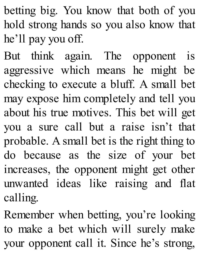betting big. You know that both of you hold strong hands so you also know that he'll pay you off.

But think again. The opponent is aggressive which means he might be checking to execute a bluff. A small bet may expose him completely and tell you about his true motives. This bet will get you a sure call but a raise isn't that probable. A small bet is the right thing to do because as the size of your bet increases, the opponent might get other unwanted ideas like raising and flat calling.

Remember when betting, you're looking to make a bet which will surely make your opponent call it. Since he's strong,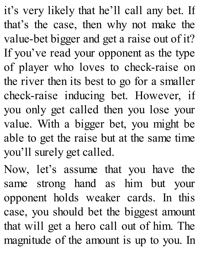it's very likely that he'll call any bet. If that's the case, then why not make the value-bet bigger and get a raise out of it? If you've read your opponent as the type of player who loves to check-raise on the river then its best to go for a smaller check-raise inducing bet. However, if you only get called then you lose your value. With a bigger bet, you might be able to get the raise but at the same time you'll surely get called.

Now, let's assume that you have the same strong hand as him but your opponent holds weaker cards. In this case, you should bet the biggest amount that will get a hero call out of him. The magnitude of the amount is up to you. In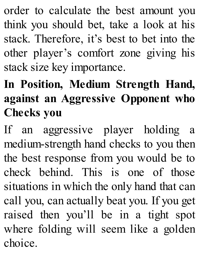order to calculate the best amount you think you should bet, take a look at his stack. Therefore, it's best to bet into the other player's comfort zone giving his stack size key importance.

# **In Position, Medium Strength Hand, against an Aggressive Opponent who Checks you**

If an aggressive player holding a medium-strength hand checks to you then the best response from you would be to check behind. This is one of those situations in which the only hand that can call you, can actually beat you. If you get raised then you'll be in a tight spot where folding will seem like a golden choice.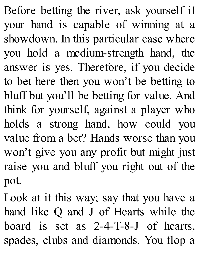Before betting the river, ask yourself if your hand is capable of winning at a showdown. In this particular case where you hold a medium-strength hand, the answer is yes. Therefore, if you decide to bet here then you won't be betting to bluff but you'll be betting for value. And think for yourself, against a player who holds a strong hand, how could you value from a bet? Hands worse than you won't give you any profit but might just raise you and bluff you right out of the pot.

Look at it this way; say that you have a hand like Q and J of Hearts while the board is set as 2-4-T-8-J of hearts, spades, clubs and diamonds. You flop a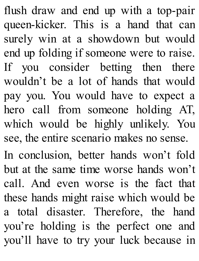flush draw and end up with a top-pair queen-kicker. This is a hand that can surely win at a showdown but would end up folding if someone were to raise. If you consider betting then there wouldn't be a lot of hands that would pay you. You would have to expect a hero call from someone holding AT, which would be highly unlikely. You see, the entire scenario makes no sense. In conclusion, better hands won't fold

but at the same time worse hands won't call. And even worse is the fact that these hands might raise which would be a total disaster. Therefore, the hand you're holding is the perfect one and you'll have to try your luck because in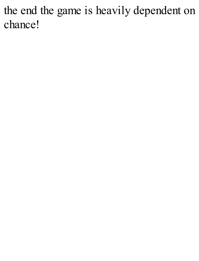the end the game is heavily dependent on chance!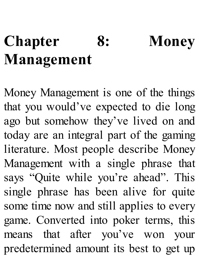# **Chapter 8: Money [Management](http://amzn.to/1GKXOzz)**

Money Management is one of the things that you would've expected to die long ago but somehow they've lived on and today are an integral part of the gaming literature. Most people describe Money Management with a single phrase that says "Quite while you're ahead". This single phrase has been alive for quite some time now and still applies to every game. Converted into poker terms, this means that after you've won your predetermined amount its best to get up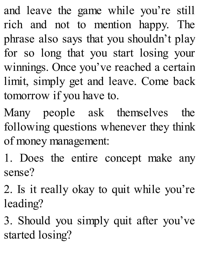and leave the game while you're still rich and not to mention happy. The phrase also says that you shouldn't play for so long that you start losing your winnings. Once you've reached a certain limit, simply get and leave. Come back tomorrow if you have to.

Many people ask themselves the following questions whenever they think of money management:

1. Does the entire concept make any sense?

2. Is it really okay to quit while you're leading?

3. Should you simply quit after you've started losing?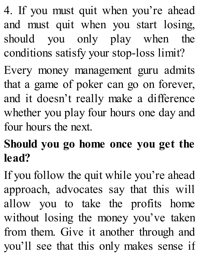4. If you must quit when you're ahead and must quit when you start losing, should you only play when the conditions satisfy your stop-loss limit?

Every money management guru admits that a game of poker can go on forever, and it doesn't really make a difference whether you play four hours one day and four hours the next.

### **Should you go home once you get the lead?**

If you follow the quit while you're ahead approach, advocates say that this will allow you to take the profits home without losing the money you've taken from them. Give it another through and you'll see that this only makes sense if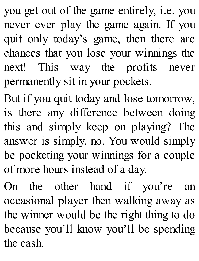you get out of the game entirely, i.e. you never ever play the game again. If you quit only today's game, then there are chances that you lose your winnings the next! This way the profits never permanently sit in your pockets.

But if you quit today and lose tomorrow, is there any difference between doing this and simply keep on playing? The answer is simply, no. You would simply be pocketing your winnings for a couple of more hours instead of a day.

On the other hand if you're an occasional player then walking away as the winner would be the right thing to do because you'll know you'll be spending the cash.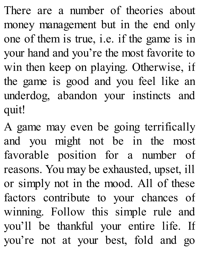There are a number of theories about money management but in the end only one of them is true, i.e. if the game is in your hand and you're the most favorite to win then keep on playing. Otherwise, if the game is good and you feel like an underdog, abandon your instincts and quit!

A game may even be going terrifically and you might not be in the most favorable position for a number of reasons. You may be exhausted, upset, ill or simply not in the mood. All of these factors contribute to your chances of winning. Follow this simple rule and you'll be thankful your entire life. If you're not at your best, fold and go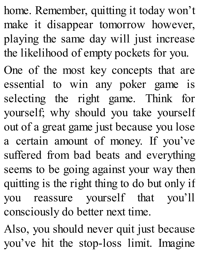home. Remember, quitting it today won't make it disappear tomorrow however, playing the same day will just increase the likelihood of empty pockets for you.

One of the most key concepts that are essential to win any poker game is selecting the right game. Think for yourself; why should you take yourself out of a great game just because you lose a certain amount of money. If you've suffered from bad beats and everything seems to be going against your way then quitting is the right thing to do but only if you reassure yourself that you'll consciously do better next time.

Also, you should never quit just because you've hit the stop-loss limit. Imagine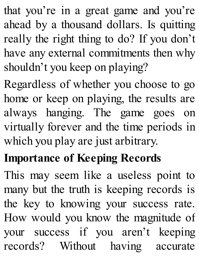that you're in a great game and you're ahead by a thousand dollars. Is quitting really the right thing to do? If you don't have any external commitments then why shouldn't you keep on playing?

Regardless of whether you choose to go home or keep on playing, the results are always hanging. The game goes on virtually forever and the time periods in which you play are just arbitrary.

# **Importance of Keeping Records**

This may seem like a useless point to many but the truth is keeping records is the key to knowing your success rate. How would you know the magnitude of your success if you aren't keeping records? Without having accurate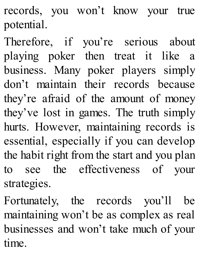records, you won't know your true potential.

Therefore, if you're serious about playing poker then treat it like a business. Many poker players simply don't maintain their records because they're afraid of the amount of money they've lost in games. The truth simply hurts. However, maintaining records is essential, especially if you can develop the habit right from the start and you plan to see the effectiveness of your strategies.

Fortunately, the records you'll be maintaining won't be as complex as real businesses and won't take much of your time.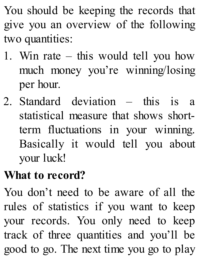You should be keeping the records that give you an overview of the following two quantities:

- 1. Win rate this would tell you how much money you're winning/losing per hour.
- 2. Standard deviation this is a statistical measure that shows shortterm fluctuations in your winning. Basically it would tell you about your luck!

#### **What to record?**

You don't need to be aware of all the rules of statistics if you want to keep your records. You only need to keep track of three quantities and you'll be good to go. The next time you go to play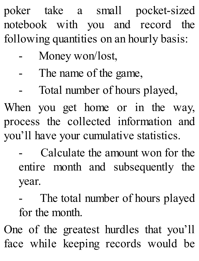poker take a small pocket-sized notebook with you and record the following quantities on an hourly basis:

- Money won/lost,
- The name of the game,
	- Total number of hours played,

When you get home or in the way, process the collected information and you'll have your cumulative statistics.

- Calculate the amount won for the entire month and subsequently the year.
- The total number of hours played for the month.

One of the greatest hurdles that you'll face while keeping records would be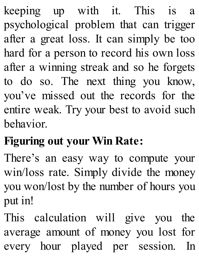keeping up with it. This is a psychological problem that can trigger after a great loss. It can simply be too hard for a person to record his own loss after a winning streak and so he forgets to do so. The next thing you know, you've missed out the records for the entire weak. Try your best to avoid such behavior.

# **Figuring out your Win Rate:**

There's an easy way to compute your win/loss rate. Simply divide the money you won/lost by the number of hours you put in!

This calculation will give you the average amount of money you lost for every hour played per session. In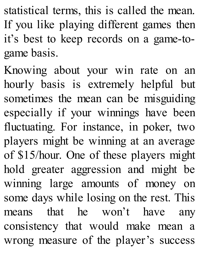statistical terms, this is called the mean. If you like playing different games then it's best to keep records on a game-togame basis.

Knowing about your win rate on an hourly basis is extremely helpful but sometimes the mean can be misguiding especially if your winnings have been fluctuating. For instance, in poker, two players might be winning at an average of \$15/hour. One of these players might hold greater aggression and might be winning large amounts of money on some days while losing on the rest. This means that he won't have any consistency that would make mean a wrong measure of the player's success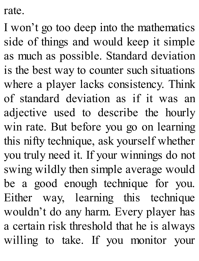rate.

I won't go too deep into the mathematics side of things and would keep it simple as much as possible. Standard deviation is the best way to counter such situations where a player lacks consistency. Think of standard deviation as if it was an adjective used to describe the hourly win rate. But before you go on learning this nifty technique, ask yourself whether you truly need it. If your winnings do not swing wildly then simple average would be a good enough technique for you. Either way, learning this technique wouldn't do any harm. Every player has a certain risk threshold that he is always willing to take. If you monitor your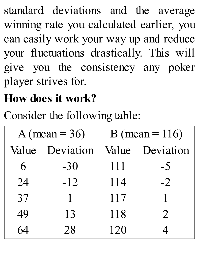standard deviations and the average winning rate you calculated earlier, you can easily work your way up and reduce your fluctuations drastically. This will give you the consistency any poker player strives for.

## **How does it work?**

Consider the following table:

| A (mean = $36$ ) |           | B (mean = $116$ ) |           |
|------------------|-----------|-------------------|-----------|
| Value            | Deviation | Value             | Deviation |
| 6                | $-30$     | 111               | $-5$      |
| 24               | $-12$     | 114               | $-2$      |
| 37               | 1         | 117               |           |
| 49               | 13        | 118               | 2         |
|                  | 28        | 120               |           |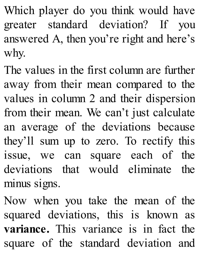Which player do you think would have greater standard deviation? If you answered A, then you're right and here's why.

The values in the first column are further away from their mean compared to the values in column 2 and their dispersion from their mean. We can't just calculate an average of the deviations because they'll sum up to zero. To rectify this issue, we can square each of the deviations that would eliminate the minus signs.

Now when you take the mean of the squared deviations, this is known as **variance.** This variance is in fact the square of the standard deviation and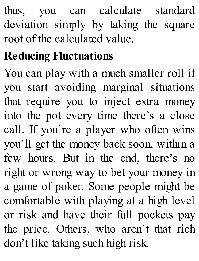thus, you can calculate standard deviation simply by taking the square root of the calculated value.

## **Reducing Fluctuations**

You can play with a much smaller roll if you start avoiding marginal situations that require you to inject extra money into the pot every time there's a close call. If you're a player who often wins you'll get the money back soon, within a few hours. But in the end, there's no right or wrong way to bet your money in a game of poker. Some people might be comfortable with playing at a high level or risk and have their full pockets pay the price. Others, who aren't that rich don't like taking such high risk.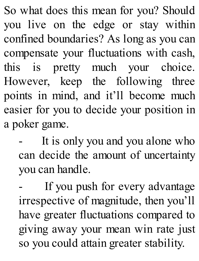So what does this mean for you? Should you live on the edge or stay within confined boundaries? As long as you can compensate your fluctuations with cash, this is pretty much your choice. However, keep the following three points in mind, and it'll become much easier for you to decide your position in a poker game.

It is only you and you alone who can decide the amount of uncertainty you can handle.

If you push for every advantage irrespective of magnitude, then you'll have greater fluctuations compared to giving away your mean win rate just so you could attain greater stability.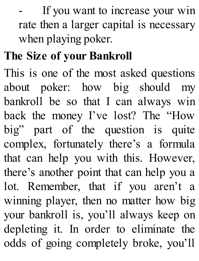If you want to increase your win rate then a larger capital is necessary when playing poker.

## **The Size of your [Bankroll](http://amzn.to/1GKXOzz)**

This is one of the most asked questions about poker: how big should my bankroll be so that I can always win back the money I've lost? The "How big" part of the question is quite complex, fortunately there's a formula that can help you with this. However, there's another point that can help you a lot. Remember, that if you aren't a winning player, then no matter how big your bankroll is, you'll always keep on depleting it. In order to eliminate the odds of going completely broke, you'll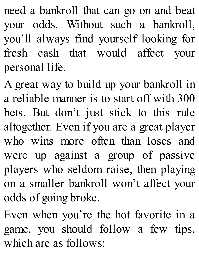need a bankroll that can go on and beat your odds. Without such a bankroll, you'll always find yourself looking for fresh cash that would affect your personal life.

A great way to build up your bankroll in a reliable manner is to start off with 300 bets. But don't just stick to this rule altogether. Even if you are a great player who wins more often than loses and were up against a group of passive players who seldom raise, then playing on a smaller bankroll won't affect your odds of going broke.

Even when you're the hot favorite in a game, you should follow a few tips, which are as follows: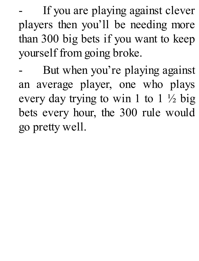If you are playing against clever players then you'll be needing more than 300 big bets if you want to keep yourself from going broke.

But when you're playing against an [average](http://amzn.to/1GKXOzz) player, one who plays every day trying to win 1 to  $1 \frac{1}{2}$  big bets every hour, the 300 rule would go pretty well.